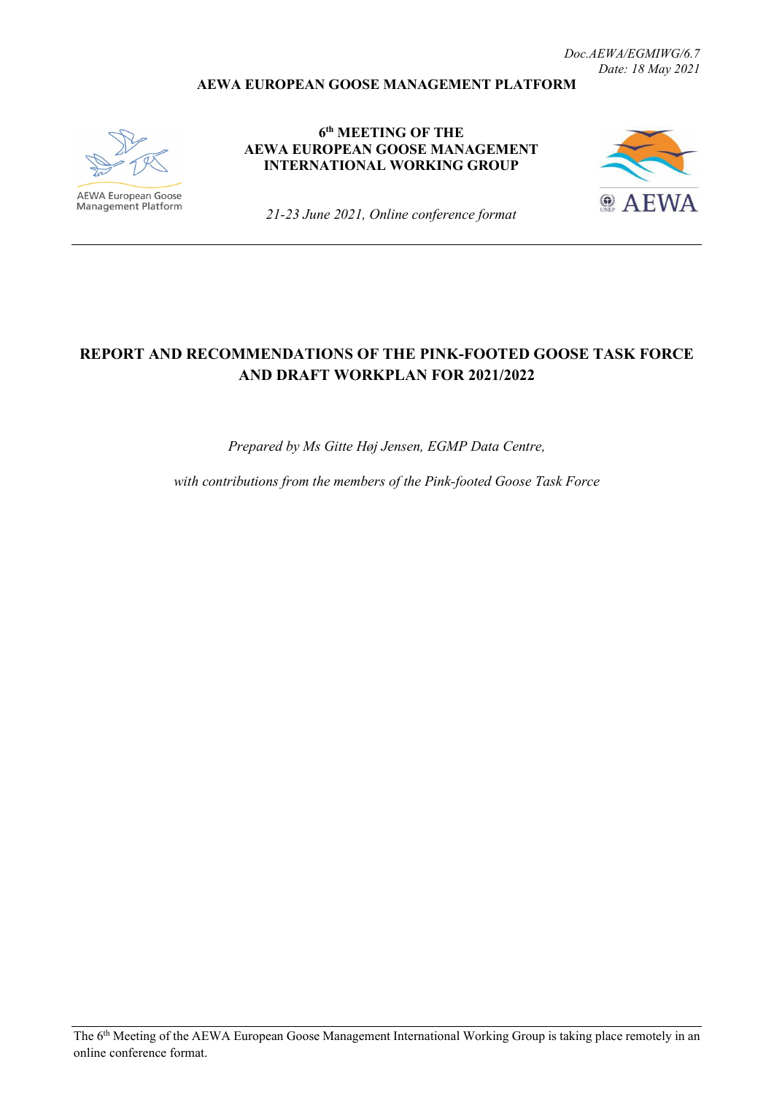#### **AEWA EUROPEAN GOOSE MANAGEMENT PLATFORM**



**AEWA European Goose**<br>Management Platform

**6th MEETING OF THE AEWA EUROPEAN GOOSE MANAGEMENT INTERNATIONAL WORKING GROUP**



*21-23 June 2021, Online conference format*

# **REPORT AND RECOMMENDATIONS OF THE PINK-FOOTED GOOSE TASK FORCE AND DRAFT WORKPLAN FOR 2021/2022**

*Prepared by Ms Gitte Høj Jensen, EGMP Data Centre,* 

*with contributions from the members of the Pink-footed Goose Task Force*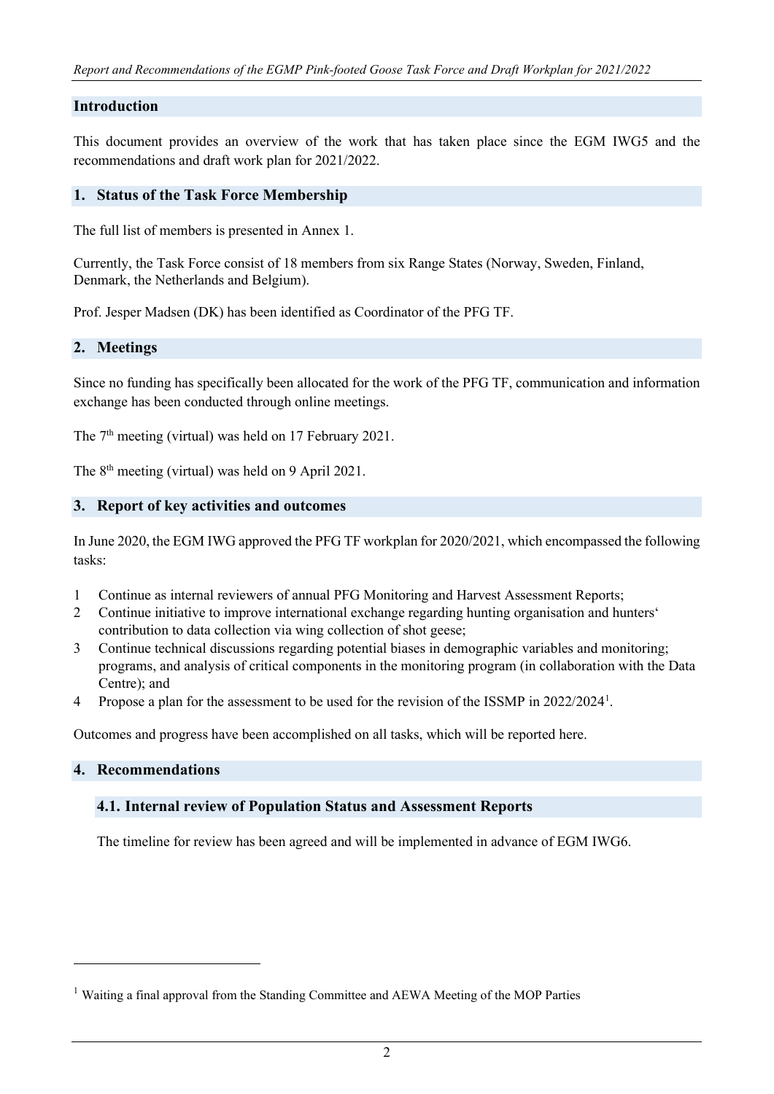### **Introduction**

This document provides an overview of the work that has taken place since the EGM IWG5 and the recommendations and draft work plan for 2021/2022.

#### **1. Status of the Task Force Membership**

The full list of members is presented in Annex 1.

Currently, the Task Force consist of 18 members from six Range States (Norway, Sweden, Finland, Denmark, the Netherlands and Belgium).

Prof. Jesper Madsen (DK) has been identified as Coordinator of the PFG TF.

#### **2. Meetings**

Since no funding has specifically been allocated for the work of the PFG TF, communication and information exchange has been conducted through online meetings.

The  $7<sup>th</sup>$  meeting (virtual) was held on 17 February 2021.

The 8th meeting (virtual) was held on 9 April 2021.

### **3. Report of key activities and outcomes**

In June 2020, the EGM IWG approved the PFG TF workplan for 2020/2021, which encompassed the following tasks:

- 1 Continue as internal reviewers of annual PFG Monitoring and Harvest Assessment Reports;
- 2 Continue initiative to improve international exchange regarding hunting organisation and hunters' contribution to data collection via wing collection of shot geese;
- 3 Continue technical discussions regarding potential biases in demographic variables and monitoring; programs, and analysis of critical components in the monitoring program (in collaboration with the Data Centre); and
- 4 Propose a plan for the assessment to be used for the revision of the ISSMP in 2022/2024<sup>[1](#page-1-0)</sup>.

Outcomes and progress have been accomplished on all tasks, which will be reported here.

#### **4. Recommendations**

#### **4.1. Internal review of Population Status and Assessment Reports**

The timeline for review has been agreed and will be implemented in advance of EGM IWG6.

<span id="page-1-0"></span><sup>1</sup> Waiting a final approval from the Standing Committee and AEWA Meeting of the MOP Parties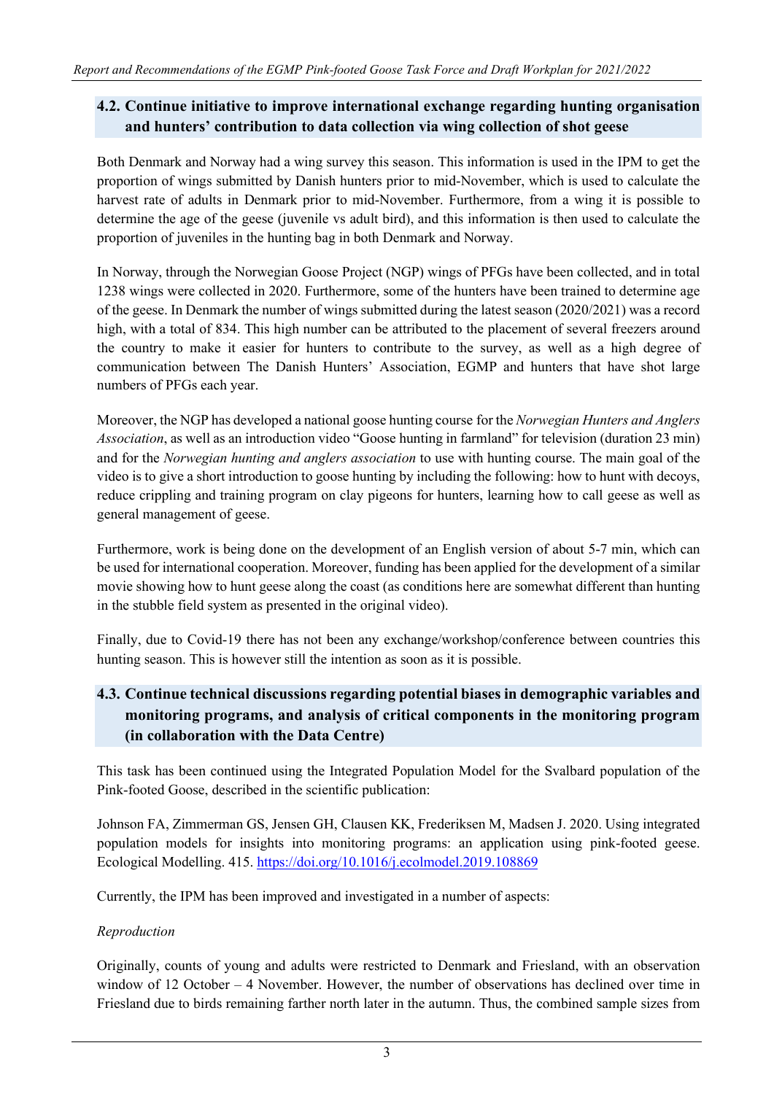# **4.2. Continue initiative to improve international exchange regarding hunting organisation and hunters' contribution to data collection via wing collection of shot geese**

Both Denmark and Norway had a wing survey this season. This information is used in the IPM to get the proportion of wings submitted by Danish hunters prior to mid-November, which is used to calculate the harvest rate of adults in Denmark prior to mid-November. Furthermore, from a wing it is possible to determine the age of the geese (juvenile vs adult bird), and this information is then used to calculate the proportion of juveniles in the hunting bag in both Denmark and Norway.

In Norway, through the Norwegian Goose Project (NGP) wings of PFGs have been collected, and in total 1238 wings were collected in 2020. Furthermore, some of the hunters have been trained to determine age of the geese. In Denmark the number of wings submitted during the latest season (2020/2021) was a record high, with a total of 834. This high number can be attributed to the placement of several freezers around the country to make it easier for hunters to contribute to the survey, as well as a high degree of communication between The Danish Hunters' Association, EGMP and hunters that have shot large numbers of PFGs each year.

Moreover, the NGP has developed a national goose hunting course for the *Norwegian Hunters and Anglers Association*, as well as an introduction video "Goose hunting in farmland" for television (duration 23 min) and for the *Norwegian hunting and anglers association* to use with hunting course. The main goal of the video is to give a short introduction to goose hunting by including the following: how to hunt with decoys, reduce crippling and training program on clay pigeons for hunters, learning how to call geese as well as general management of geese.

Furthermore, work is being done on the development of an English version of about 5-7 min, which can be used for international cooperation. Moreover, funding has been applied for the development of a similar movie showing how to hunt geese along the coast (as conditions here are somewhat different than hunting in the stubble field system as presented in the original video).

Finally, due to Covid-19 there has not been any exchange/workshop/conference between countries this hunting season. This is however still the intention as soon as it is possible.

# **4.3. Continue technical discussions regarding potential biases in demographic variables and monitoring programs, and analysis of critical components in the monitoring program (in collaboration with the Data Centre)**

This task has been continued using the Integrated Population Model for the Svalbard population of the Pink-footed Goose, described in the scientific publication:

Johnson FA, Zimmerman GS, Jensen GH, Clausen KK, Frederiksen M, Madsen J. 2020. Using integrated population models for insights into monitoring programs: an application using pink-footed geese. Ecological Modelling. 415.<https://doi.org/10.1016/j.ecolmodel.2019.108869>

Currently, the IPM has been improved and investigated in a number of aspects:

# *Reproduction*

Originally, counts of young and adults were restricted to Denmark and Friesland, with an observation window of 12 October – 4 November. However, the number of observations has declined over time in Friesland due to birds remaining farther north later in the autumn. Thus, the combined sample sizes from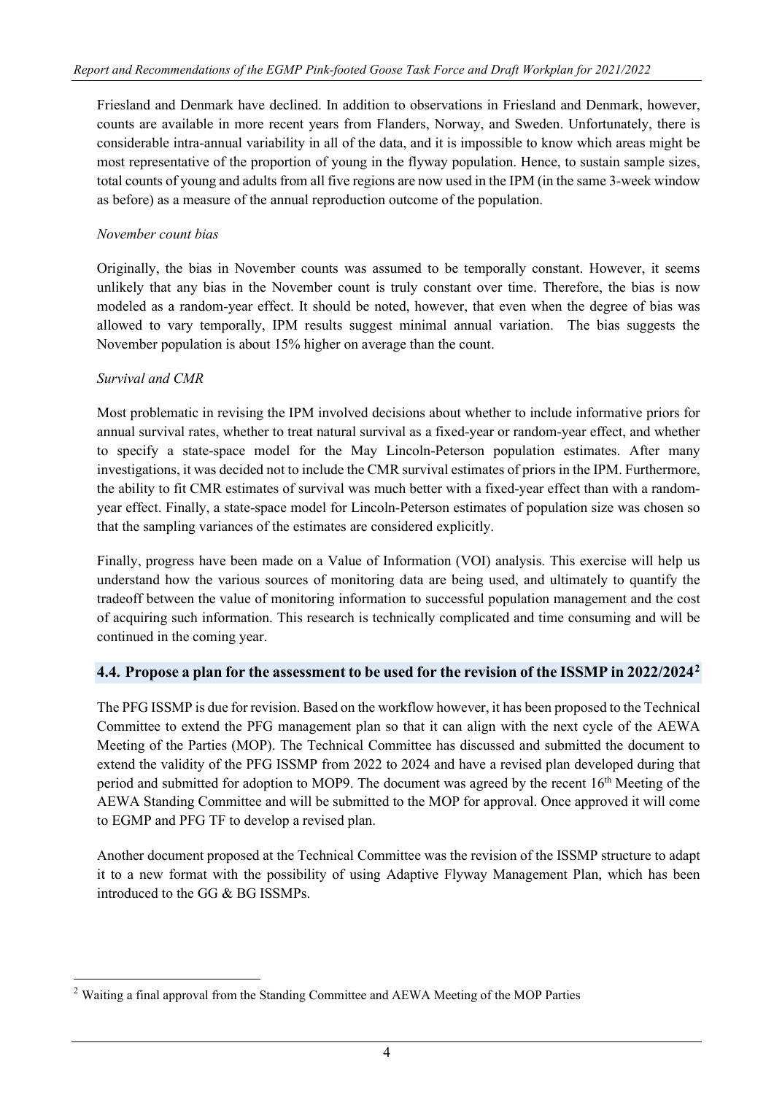Friesland and Denmark have declined. In addition to observations in Friesland and Denmark, however, counts are available in more recent years from Flanders, Norway, and Sweden. Unfortunately, there is considerable intra-annual variability in all of the data, and it is impossible to know which areas might be most representative of the proportion of young in the flyway population. Hence, to sustain sample sizes, total counts of young and adults from all five regions are now used in the IPM (in the same 3-week window as before) as a measure of the annual reproduction outcome of the population.

#### *November count bias*

Originally, the bias in November counts was assumed to be temporally constant. However, it seems unlikely that any bias in the November count is truly constant over time. Therefore, the bias is now modeled as a random-year effect. It should be noted, however, that even when the degree of bias was allowed to vary temporally, IPM results suggest minimal annual variation. The bias suggests the November population is about 15% higher on average than the count.

### *Survival and CMR*

Most problematic in revising the IPM involved decisions about whether to include informative priors for annual survival rates, whether to treat natural survival as a fixed-year or random-year effect, and whether to specify a state-space model for the May Lincoln-Peterson population estimates. After many investigations, it was decided not to include the CMR survival estimates of priors in the IPM. Furthermore, the ability to fit CMR estimates of survival was much better with a fixed-year effect than with a randomyear effect. Finally, a state-space model for Lincoln-Peterson estimates of population size was chosen so that the sampling variances of the estimates are considered explicitly.

Finally, progress have been made on a Value of Information (VOI) analysis. This exercise will help us understand how the various sources of monitoring data are being used, and ultimately to quantify the tradeoff between the value of monitoring information to successful population management and the cost of acquiring such information. This research is technically complicated and time consuming and will be continued in the coming year.

#### **4.4. Propose a plan for the assessment to be used for the revision of the ISSMP in 2022/2024[2](#page-3-0)**

The PFG ISSMP is due for revision. Based on the workflow however, it has been proposed to the Technical Committee to extend the PFG management plan so that it can align with the next cycle of the AEWA Meeting of the Parties (MOP). The Technical Committee has discussed and submitted the document to extend the validity of the PFG ISSMP from 2022 to 2024 and have a revised plan developed during that period and submitted for adoption to MOP9. The document was agreed by the recent  $16<sup>th</sup>$  Meeting of the AEWA Standing Committee and will be submitted to the MOP for approval. Once approved it will come to EGMP and PFG TF to develop a revised plan.

Another document proposed at the Technical Committee was the revision of the ISSMP structure to adapt it to a new format with the possibility of using Adaptive Flyway Management Plan, which has been introduced to the GG & BG ISSMPs.

<span id="page-3-0"></span><sup>2</sup> Waiting a final approval from the Standing Committee and AEWA Meeting of the MOP Parties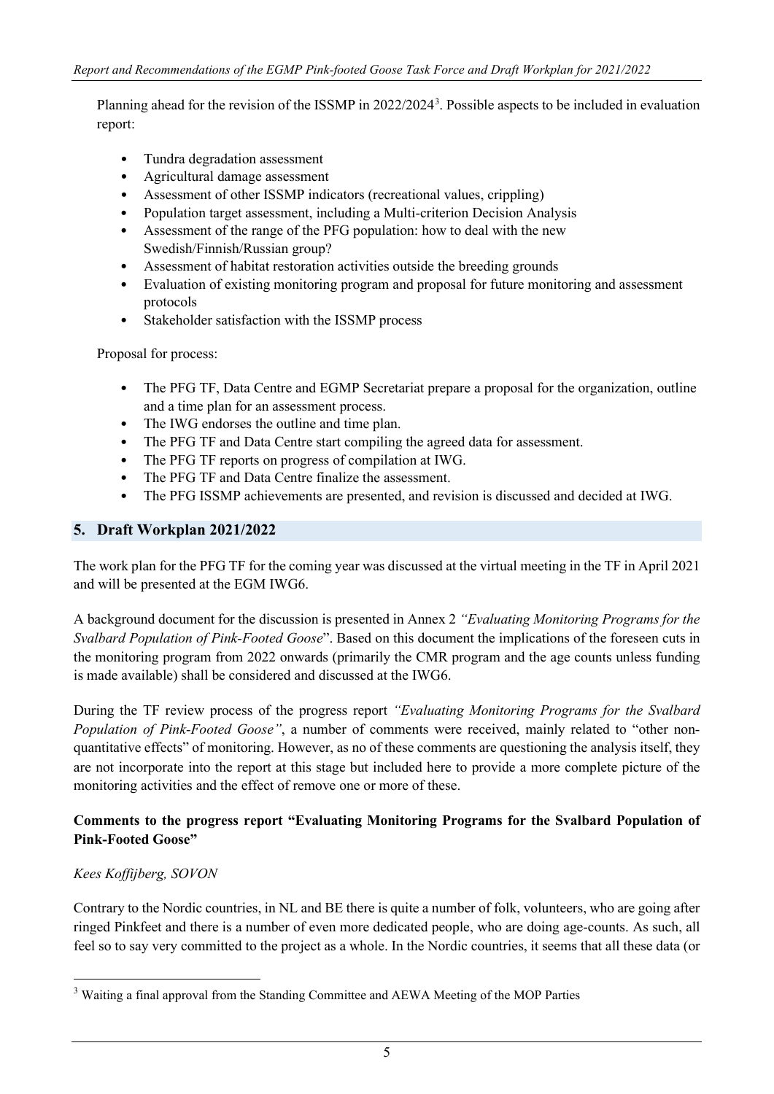Planning ahead for the revision of the ISSMP in 2022/2024<sup>[3](#page-4-0)</sup>. Possible aspects to be included in evaluation report:

- Tundra degradation assessment
- Agricultural damage assessment
- Assessment of other ISSMP indicators (recreational values, crippling)
- Population target assessment, including a Multi-criterion Decision Analysis
- Assessment of the range of the PFG population: how to deal with the new Swedish/Finnish/Russian group?
- Assessment of habitat restoration activities outside the breeding grounds
- Evaluation of existing monitoring program and proposal for future monitoring and assessment protocols
- Stakeholder satisfaction with the ISSMP process

Proposal for process:

- The PFG TF, Data Centre and EGMP Secretariat prepare a proposal for the organization, outline and a time plan for an assessment process.
- The IWG endorses the outline and time plan.
- The PFG TF and Data Centre start compiling the agreed data for assessment.
- The PFG TF reports on progress of compilation at IWG.
- The PFG TF and Data Centre finalize the assessment.
- The PFG ISSMP achievements are presented, and revision is discussed and decided at IWG.

### **5. Draft Workplan 2021/2022**

The work plan for the PFG TF for the coming year was discussed at the virtual meeting in the TF in April 2021 and will be presented at the EGM IWG6.

A background document for the discussion is presented in Annex 2 *"Evaluating Monitoring Programs for the Svalbard Population of Pink-Footed Goose*". Based on this document the implications of the foreseen cuts in the monitoring program from 2022 onwards (primarily the CMR program and the age counts unless funding is made available) shall be considered and discussed at the IWG6.

During the TF review process of the progress report *"Evaluating Monitoring Programs for the Svalbard Population of Pink-Footed Goose"*, a number of comments were received, mainly related to "other nonquantitative effects" of monitoring. However, as no of these comments are questioning the analysis itself, they are not incorporate into the report at this stage but included here to provide a more complete picture of the monitoring activities and the effect of remove one or more of these.

### **Comments to the progress report "Evaluating Monitoring Programs for the Svalbard Population of Pink-Footed Goose"**

# *Kees Koffijberg, SOVON*

Contrary to the Nordic countries, in NL and BE there is quite a number of folk, volunteers, who are going after ringed Pinkfeet and there is a number of even more dedicated people, who are doing age-counts. As such, all feel so to say very committed to the project as a whole. In the Nordic countries, it seems that all these data (or

<span id="page-4-0"></span><sup>3</sup> Waiting a final approval from the Standing Committee and AEWA Meeting of the MOP Parties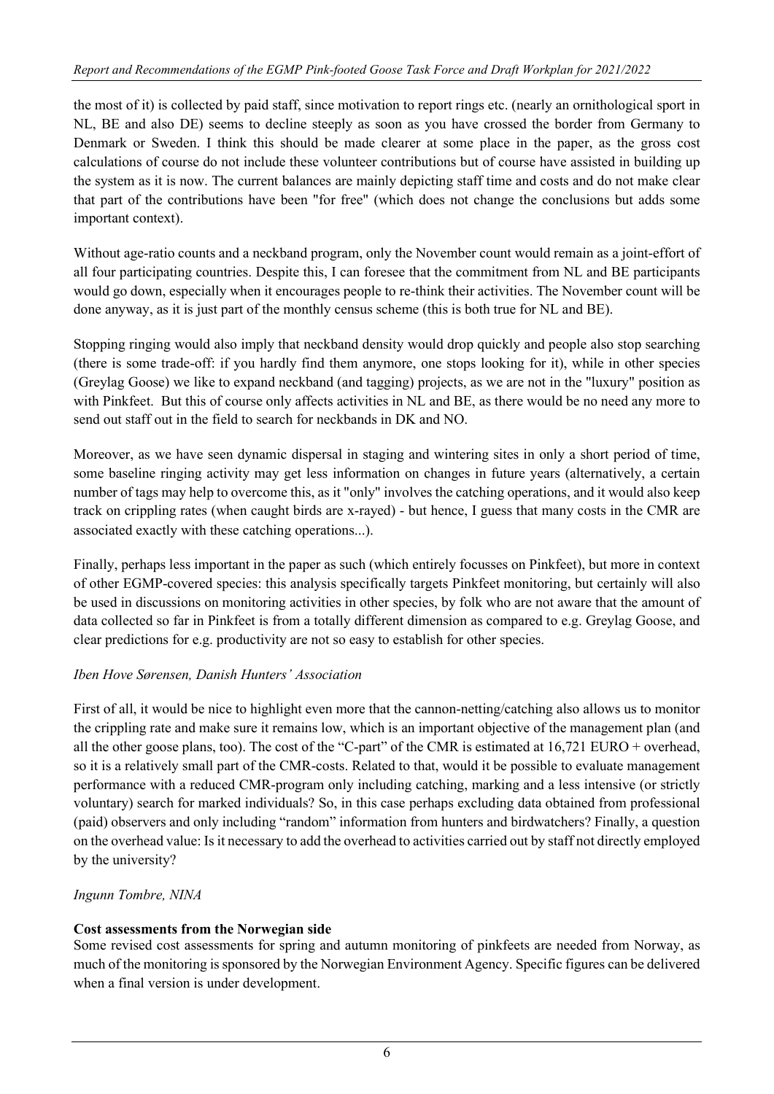the most of it) is collected by paid staff, since motivation to report rings etc. (nearly an ornithological sport in NL, BE and also DE) seems to decline steeply as soon as you have crossed the border from Germany to Denmark or Sweden. I think this should be made clearer at some place in the paper, as the gross cost calculations of course do not include these volunteer contributions but of course have assisted in building up the system as it is now. The current balances are mainly depicting staff time and costs and do not make clear that part of the contributions have been "for free" (which does not change the conclusions but adds some important context).

Without age-ratio counts and a neckband program, only the November count would remain as a joint-effort of all four participating countries. Despite this, I can foresee that the commitment from NL and BE participants would go down, especially when it encourages people to re-think their activities. The November count will be done anyway, as it is just part of the monthly census scheme (this is both true for NL and BE).

Stopping ringing would also imply that neckband density would drop quickly and people also stop searching (there is some trade-off: if you hardly find them anymore, one stops looking for it), while in other species (Greylag Goose) we like to expand neckband (and tagging) projects, as we are not in the "luxury" position as with Pinkfeet. But this of course only affects activities in NL and BE, as there would be no need any more to send out staff out in the field to search for neckbands in DK and NO.

Moreover, as we have seen dynamic dispersal in staging and wintering sites in only a short period of time, some baseline ringing activity may get less information on changes in future years (alternatively, a certain number of tags may help to overcome this, as it "only" involves the catching operations, and it would also keep track on crippling rates (when caught birds are x-rayed) - but hence, I guess that many costs in the CMR are associated exactly with these catching operations...).

Finally, perhaps less important in the paper as such (which entirely focusses on Pinkfeet), but more in context of other EGMP-covered species: this analysis specifically targets Pinkfeet monitoring, but certainly will also be used in discussions on monitoring activities in other species, by folk who are not aware that the amount of data collected so far in Pinkfeet is from a totally different dimension as compared to e.g. Greylag Goose, and clear predictions for e.g. productivity are not so easy to establish for other species.

# *Iben Hove Sørensen, Danish Hunters' Association*

First of all, it would be nice to highlight even more that the cannon-netting/catching also allows us to monitor the crippling rate and make sure it remains low, which is an important objective of the management plan (and all the other goose plans, too). The cost of the "C-part" of the CMR is estimated at 16,721 EURO + overhead, so it is a relatively small part of the CMR-costs. Related to that, would it be possible to evaluate management performance with a reduced CMR-program only including catching, marking and a less intensive (or strictly voluntary) search for marked individuals? So, in this case perhaps excluding data obtained from professional (paid) observers and only including "random" information from hunters and birdwatchers? Finally, a question on the overhead value: Is it necessary to add the overhead to activities carried out by staff not directly employed by the university?

# *Ingunn Tombre, NINA*

# **Cost assessments from the Norwegian side**

Some revised cost assessments for spring and autumn monitoring of pinkfeets are needed from Norway, as much of the monitoring is sponsored by the Norwegian Environment Agency. Specific figures can be delivered when a final version is under development.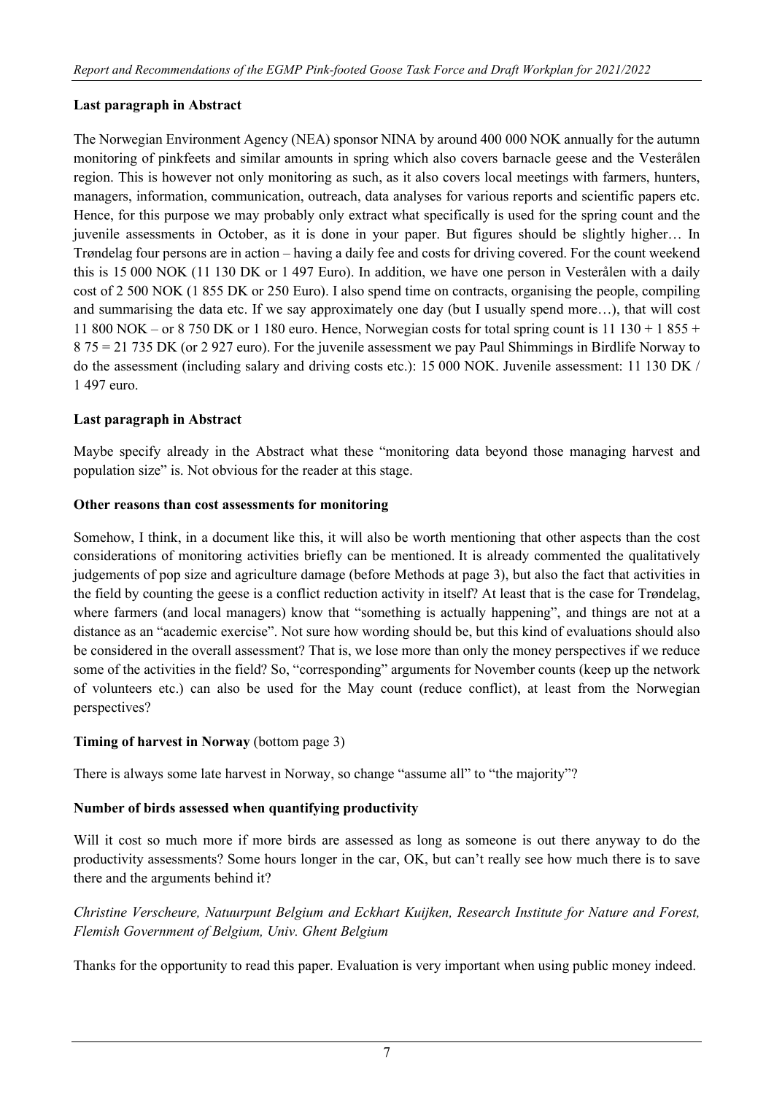### **Last paragraph in Abstract**

The Norwegian Environment Agency (NEA) sponsor NINA by around 400 000 NOK annually for the autumn monitoring of pinkfeets and similar amounts in spring which also covers barnacle geese and the Vesterålen region. This is however not only monitoring as such, as it also covers local meetings with farmers, hunters, managers, information, communication, outreach, data analyses for various reports and scientific papers etc. Hence, for this purpose we may probably only extract what specifically is used for the spring count and the juvenile assessments in October, as it is done in your paper. But figures should be slightly higher… In Trøndelag four persons are in action – having a daily fee and costs for driving covered. For the count weekend this is 15 000 NOK (11 130 DK or 1 497 Euro). In addition, we have one person in Vesterålen with a daily cost of 2 500 NOK (1 855 DK or 250 Euro). I also spend time on contracts, organising the people, compiling and summarising the data etc. If we say approximately one day (but I usually spend more…), that will cost 11 800 NOK – or 8 750 DK or 1 180 euro. Hence, Norwegian costs for total spring count is  $11\,130 + 1\,855 +$ 8 75 = 21 735 DK (or 2 927 euro). For the juvenile assessment we pay Paul Shimmings in Birdlife Norway to do the assessment (including salary and driving costs etc.): 15 000 NOK. Juvenile assessment: 11 130 DK / 1 497 euro.

### **Last paragraph in Abstract**

Maybe specify already in the Abstract what these "monitoring data beyond those managing harvest and population size" is. Not obvious for the reader at this stage.

#### **Other reasons than cost assessments for monitoring**

Somehow, I think, in a document like this, it will also be worth mentioning that other aspects than the cost considerations of monitoring activities briefly can be mentioned. It is already commented the qualitatively judgements of pop size and agriculture damage (before Methods at page 3), but also the fact that activities in the field by counting the geese is a conflict reduction activity in itself? At least that is the case for Trøndelag, where farmers (and local managers) know that "something is actually happening", and things are not at a distance as an "academic exercise". Not sure how wording should be, but this kind of evaluations should also be considered in the overall assessment? That is, we lose more than only the money perspectives if we reduce some of the activities in the field? So, "corresponding" arguments for November counts (keep up the network of volunteers etc.) can also be used for the May count (reduce conflict), at least from the Norwegian perspectives?

#### **Timing of harvest in Norway** (bottom page 3)

There is always some late harvest in Norway, so change "assume all" to "the majority"?

#### **Number of birds assessed when quantifying productivity**

Will it cost so much more if more birds are assessed as long as someone is out there anyway to do the productivity assessments? Some hours longer in the car, OK, but can't really see how much there is to save there and the arguments behind it?

# *Christine Verscheure, Natuurpunt Belgium and Eckhart Kuijken, Research Institute for Nature and Forest, Flemish Government of Belgium, Univ. Ghent Belgium*

Thanks for the opportunity to read this paper. Evaluation is very important when using public money indeed.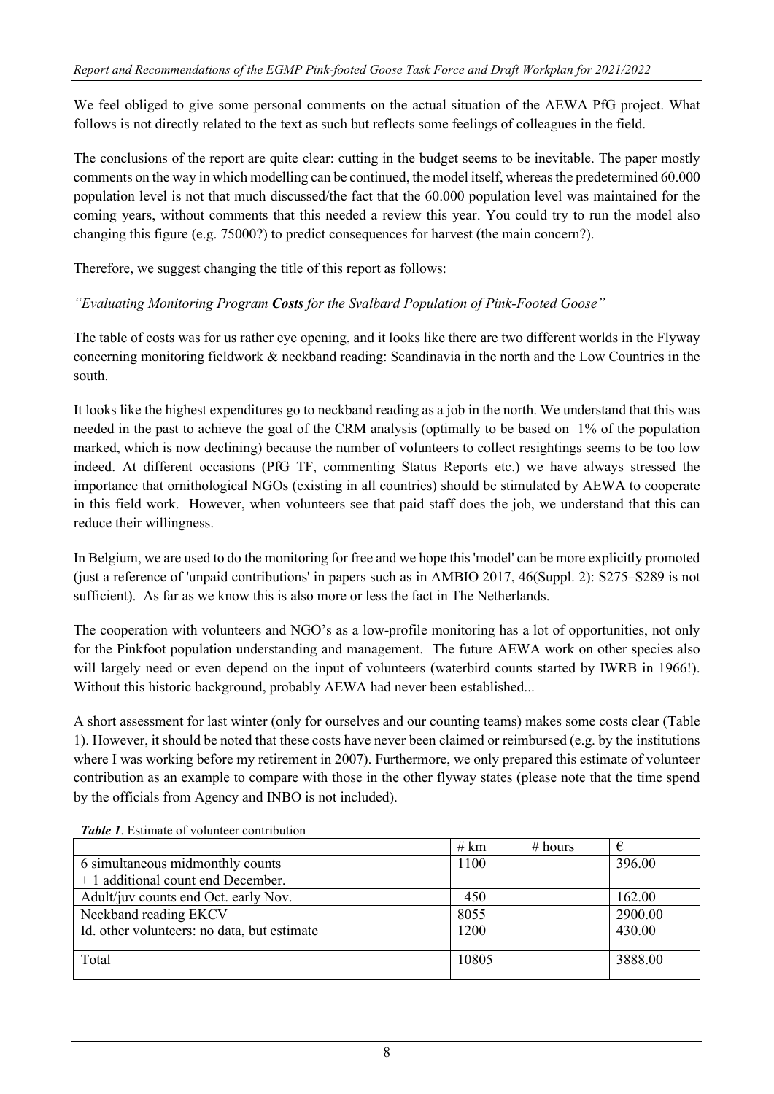We feel obliged to give some personal comments on the actual situation of the AEWA PfG project. What follows is not directly related to the text as such but reflects some feelings of colleagues in the field.

The conclusions of the report are quite clear: cutting in the budget seems to be inevitable. The paper mostly comments on the way in which modelling can be continued, the model itself, whereas the predetermined 60.000 population level is not that much discussed/the fact that the 60.000 population level was maintained for the coming years, without comments that this needed a review this year. You could try to run the model also changing this figure (e.g. 75000?) to predict consequences for harvest (the main concern?).

Therefore, we suggest changing the title of this report as follows:

*"Evaluating Monitoring Program Costs for the Svalbard Population of Pink-Footed Goose"*

The table of costs was for us rather eye opening, and it looks like there are two different worlds in the Flyway concerning monitoring fieldwork & neckband reading: Scandinavia in the north and the Low Countries in the south.

It looks like the highest expenditures go to neckband reading as a job in the north. We understand that this was needed in the past to achieve the goal of the CRM analysis (optimally to be based on 1% of the population marked, which is now declining) because the number of volunteers to collect resightings seems to be too low indeed. At different occasions (PfG TF, commenting Status Reports etc.) we have always stressed the importance that ornithological NGOs (existing in all countries) should be stimulated by AEWA to cooperate in this field work. However, when volunteers see that paid staff does the job, we understand that this can reduce their willingness.

In Belgium, we are used to do the monitoring for free and we hope this 'model' can be more explicitly promoted (just a reference of 'unpaid contributions' in papers such as in AMBIO 2017, 46(Suppl. 2): S275–S289 is not sufficient). As far as we know this is also more or less the fact in The Netherlands.

The cooperation with volunteers and NGO's as a low-profile monitoring has a lot of opportunities, not only for the Pinkfoot population understanding and management. The future AEWA work on other species also will largely need or even depend on the input of volunteers (waterbird counts started by IWRB in 1966!). Without this historic background, probably AEWA had never been established...

A short assessment for last winter (only for ourselves and our counting teams) makes some costs clear (Table 1). However, it should be noted that these costs have never been claimed or reimbursed (e.g. by the institutions where I was working before my retirement in 2007). Furthermore, we only prepared this estimate of volunteer contribution as an example to compare with those in the other flyway states (please note that the time spend by the officials from Agency and INBO is not included).

|                                             | # $km$ | # hours | €       |
|---------------------------------------------|--------|---------|---------|
| 6 simultaneous midmonthly counts            | 1100   |         | 396.00  |
| + 1 additional count end December.          |        |         |         |
| Adult/juv counts end Oct. early Nov.        | 450    |         | 162.00  |
| Neckband reading EKCV                       | 8055   |         | 2900.00 |
| Id. other volunteers: no data, but estimate | 1200   |         | 430.00  |
|                                             |        |         |         |
| Total                                       | 10805  |         | 3888.00 |
|                                             |        |         |         |

*Table 1*. Estimate of volunteer contribution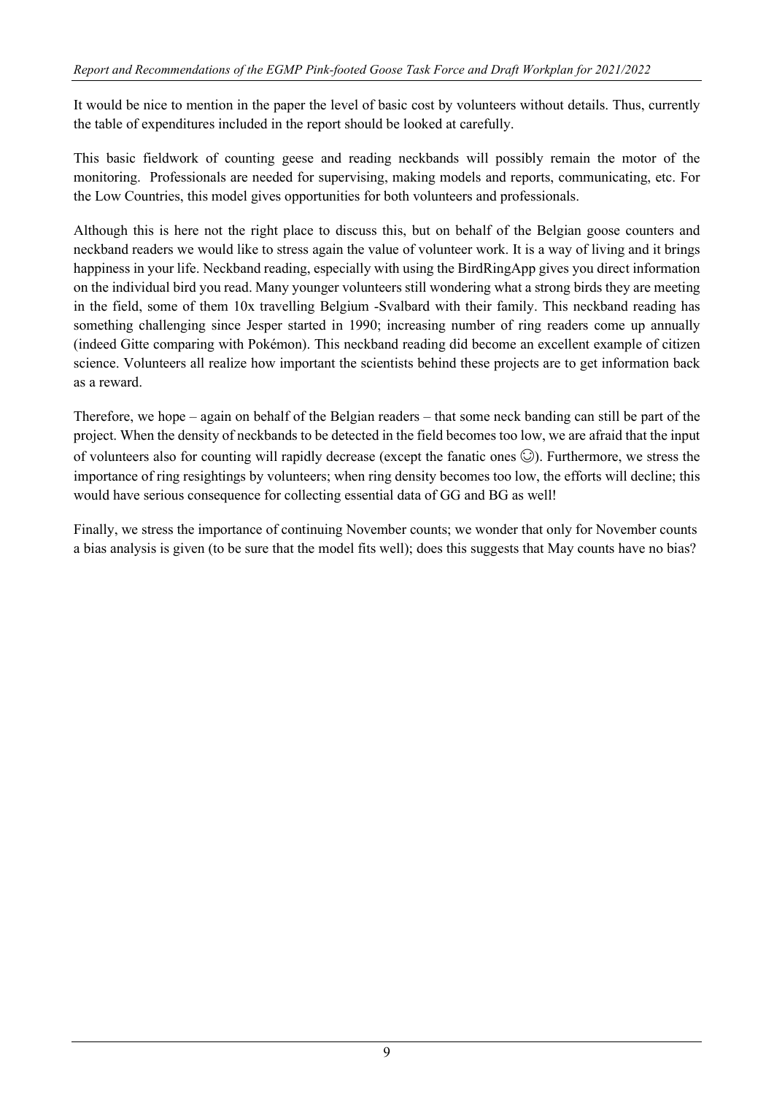It would be nice to mention in the paper the level of basic cost by volunteers without details. Thus, currently the table of expenditures included in the report should be looked at carefully.

This basic fieldwork of counting geese and reading neckbands will possibly remain the motor of the monitoring. Professionals are needed for supervising, making models and reports, communicating, etc. For the Low Countries, this model gives opportunities for both volunteers and professionals.

Although this is here not the right place to discuss this, but on behalf of the Belgian goose counters and neckband readers we would like to stress again the value of volunteer work. It is a way of living and it brings happiness in your life. Neckband reading, especially with using the BirdRingApp gives you direct information on the individual bird you read. Many younger volunteers still wondering what a strong birds they are meeting in the field, some of them 10x travelling Belgium -Svalbard with their family. This neckband reading has something challenging since Jesper started in 1990; increasing number of ring readers come up annually (indeed Gitte comparing with Pokémon). This neckband reading did become an excellent example of citizen science. Volunteers all realize how important the scientists behind these projects are to get information back as a reward.

Therefore, we hope – again on behalf of the Belgian readers – that some neck banding can still be part of the project. When the density of neckbands to be detected in the field becomes too low, we are afraid that the input of volunteers also for counting will rapidly decrease (except the fanatic ones  $\odot$ ). Furthermore, we stress the importance of ring resightings by volunteers; when ring density becomes too low, the efforts will decline; this would have serious consequence for collecting essential data of GG and BG as well!

Finally, we stress the importance of continuing November counts; we wonder that only for November counts a bias analysis is given (to be sure that the model fits well); does this suggests that May counts have no bias?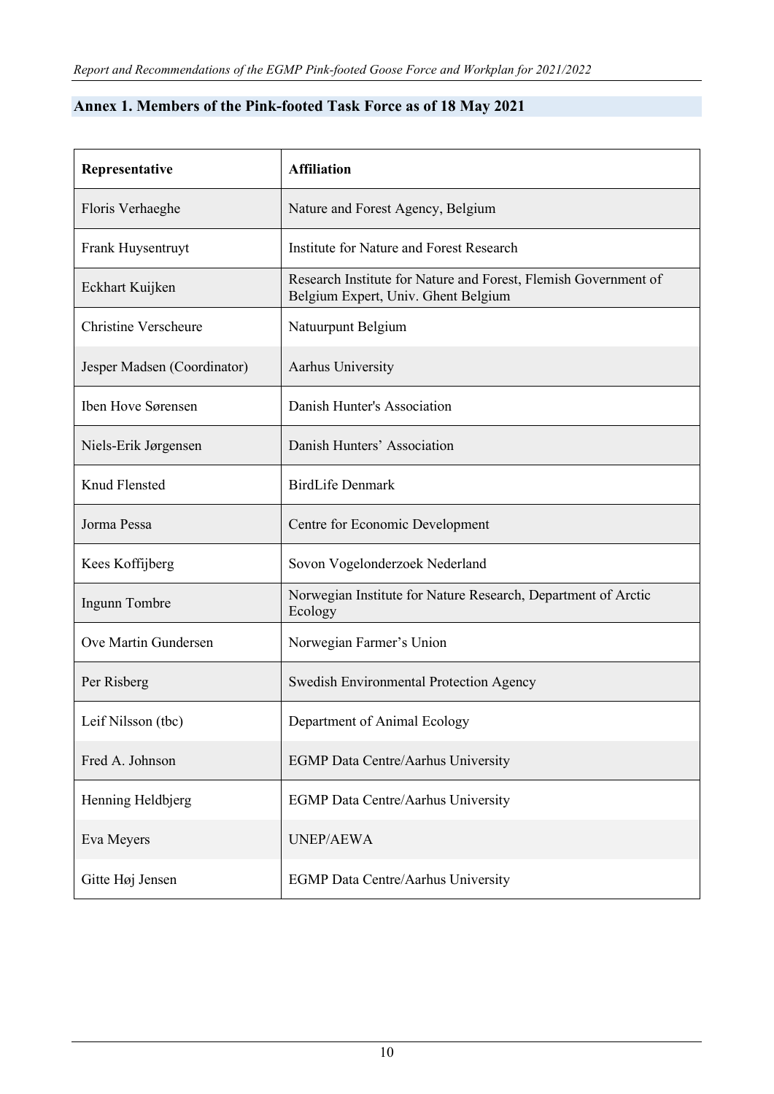# **Annex 1. Members of the Pink-footed Task Force as of 18 May 2021**

| Representative              | <b>Affiliation</b>                                                                                     |
|-----------------------------|--------------------------------------------------------------------------------------------------------|
| Floris Verhaeghe            | Nature and Forest Agency, Belgium                                                                      |
| Frank Huysentruyt           | Institute for Nature and Forest Research                                                               |
| Eckhart Kuijken             | Research Institute for Nature and Forest, Flemish Government of<br>Belgium Expert, Univ. Ghent Belgium |
| <b>Christine Verscheure</b> | Natuurpunt Belgium                                                                                     |
| Jesper Madsen (Coordinator) | Aarhus University                                                                                      |
| Iben Hove Sørensen          | Danish Hunter's Association                                                                            |
| Niels-Erik Jørgensen        | Danish Hunters' Association                                                                            |
| Knud Flensted               | <b>BirdLife Denmark</b>                                                                                |
| Jorma Pessa                 | Centre for Economic Development                                                                        |
| Kees Koffijberg             | Sovon Vogelonderzoek Nederland                                                                         |
| Ingunn Tombre               | Norwegian Institute for Nature Research, Department of Arctic<br>Ecology                               |
| Ove Martin Gundersen        | Norwegian Farmer's Union                                                                               |
| Per Risberg                 | <b>Swedish Environmental Protection Agency</b>                                                         |
| Leif Nilsson (tbc)          | Department of Animal Ecology                                                                           |
| Fred A. Johnson             | EGMP Data Centre/Aarhus University                                                                     |
| Henning Heldbjerg           | <b>EGMP</b> Data Centre/Aarhus University                                                              |
| Eva Meyers                  | <b>UNEP/AEWA</b>                                                                                       |
| Gitte Høj Jensen            | <b>EGMP</b> Data Centre/Aarhus University                                                              |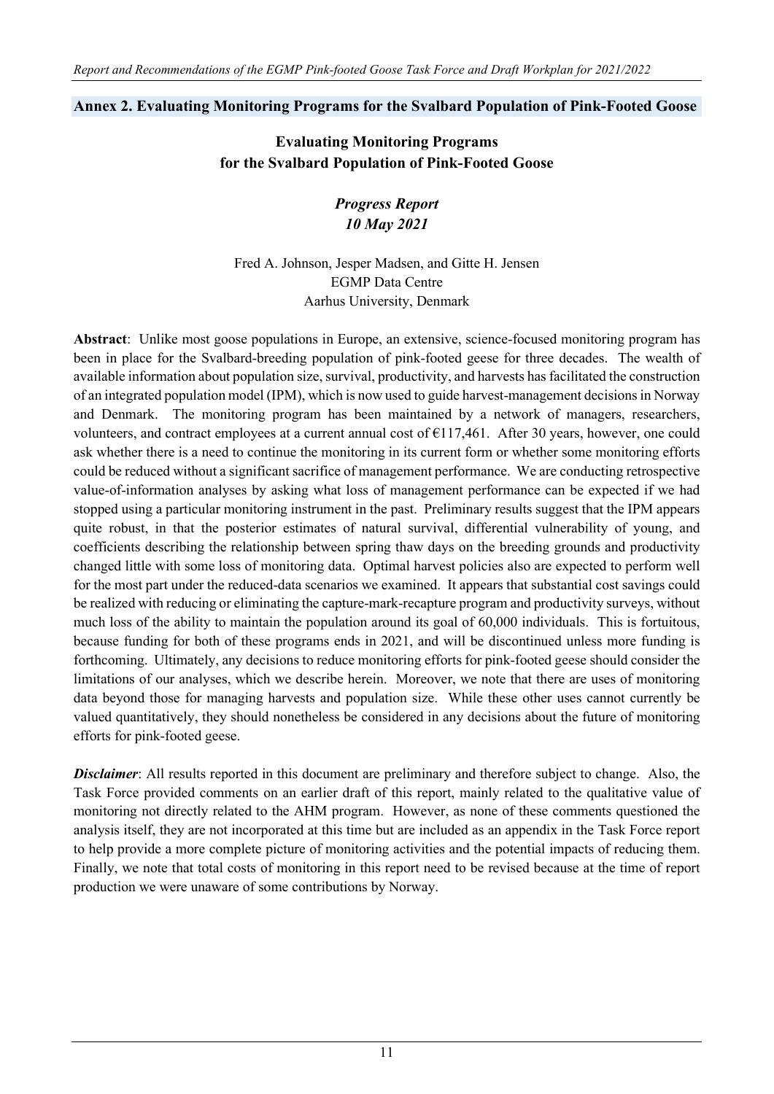# **Annex 2. Evaluating Monitoring Programs for the Svalbard Population of Pink-Footed Goose**

**Evaluating Monitoring Programs for the Svalbard Population of Pink-Footed Goose**

> *Progress Report 10 May 2021*

Fred A. Johnson, Jesper Madsen, and Gitte H. Jensen EGMP Data Centre Aarhus University, Denmark

**Abstract**: Unlike most goose populations in Europe, an extensive, science-focused monitoring program has been in place for the Svalbard-breeding population of pink-footed geese for three decades. The wealth of available information about population size, survival, productivity, and harvests has facilitated the construction of an integrated population model (IPM), which is now used to guide harvest-management decisions in Norway and Denmark. The monitoring program has been maintained by a network of managers, researchers, volunteers, and contract employees at a current annual cost of €117,461. After 30 years, however, one could ask whether there is a need to continue the monitoring in its current form or whether some monitoring efforts could be reduced without a significant sacrifice of management performance. We are conducting retrospective value-of-information analyses by asking what loss of management performance can be expected if we had stopped using a particular monitoring instrument in the past. Preliminary results suggest that the IPM appears quite robust, in that the posterior estimates of natural survival, differential vulnerability of young, and coefficients describing the relationship between spring thaw days on the breeding grounds and productivity changed little with some loss of monitoring data. Optimal harvest policies also are expected to perform well for the most part under the reduced-data scenarios we examined. It appears that substantial cost savings could be realized with reducing or eliminating the capture-mark-recapture program and productivity surveys, without much loss of the ability to maintain the population around its goal of 60,000 individuals. This is fortuitous, because funding for both of these programs ends in 2021, and will be discontinued unless more funding is forthcoming. Ultimately, any decisions to reduce monitoring efforts for pink-footed geese should consider the limitations of our analyses, which we describe herein. Moreover, we note that there are uses of monitoring data beyond those for managing harvests and population size. While these other uses cannot currently be valued quantitatively, they should nonetheless be considered in any decisions about the future of monitoring efforts for pink-footed geese.

*Disclaimer*: All results reported in this document are preliminary and therefore subject to change. Also, the Task Force provided comments on an earlier draft of this report, mainly related to the qualitative value of monitoring not directly related to the AHM program. However, as none of these comments questioned the analysis itself, they are not incorporated at this time but are included as an appendix in the Task Force report to help provide a more complete picture of monitoring activities and the potential impacts of reducing them. Finally, we note that total costs of monitoring in this report need to be revised because at the time of report production we were unaware of some contributions by Norway.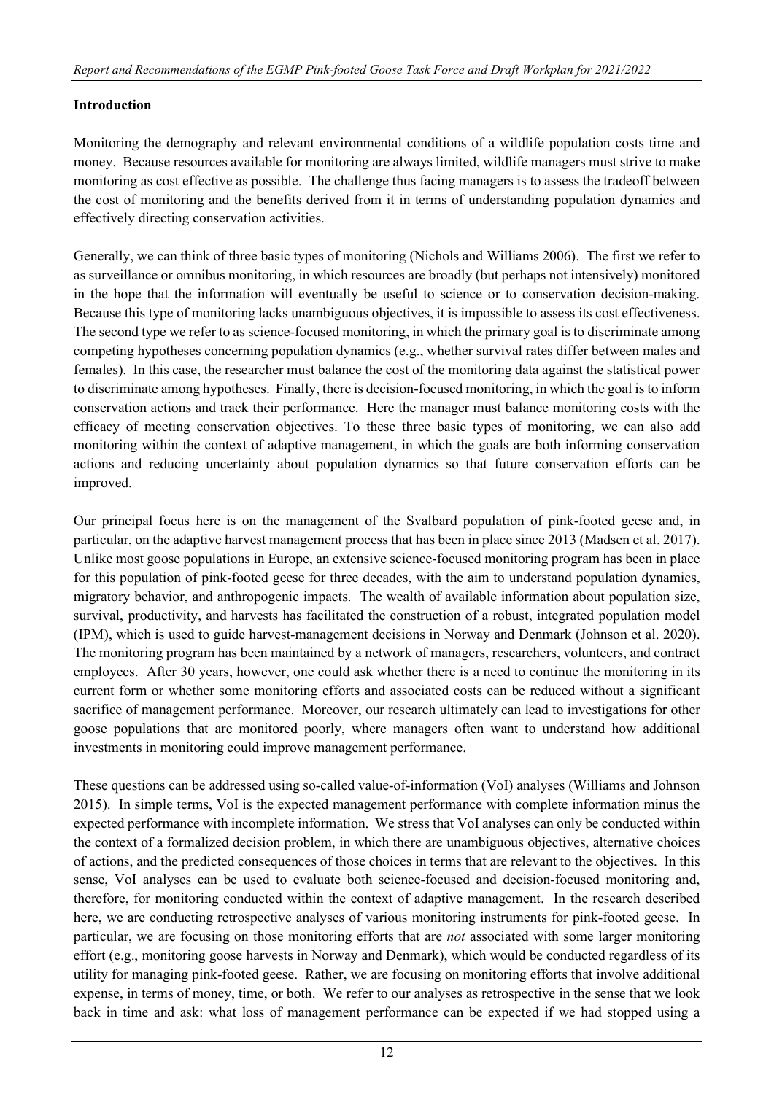### **Introduction**

Monitoring the demography and relevant environmental conditions of a wildlife population costs time and money. Because resources available for monitoring are always limited, wildlife managers must strive to make monitoring as cost effective as possible. The challenge thus facing managers is to assess the tradeoff between the cost of monitoring and the benefits derived from it in terms of understanding population dynamics and effectively directing conservation activities.

Generally, we can think of three basic types of monitoring (Nichols and Williams 2006). The first we refer to as surveillance or omnibus monitoring, in which resources are broadly (but perhaps not intensively) monitored in the hope that the information will eventually be useful to science or to conservation decision-making. Because this type of monitoring lacks unambiguous objectives, it is impossible to assess its cost effectiveness. The second type we refer to as science-focused monitoring, in which the primary goal is to discriminate among competing hypotheses concerning population dynamics (e.g., whether survival rates differ between males and females). In this case, the researcher must balance the cost of the monitoring data against the statistical power to discriminate among hypotheses. Finally, there is decision-focused monitoring, in which the goal is to inform conservation actions and track their performance. Here the manager must balance monitoring costs with the efficacy of meeting conservation objectives. To these three basic types of monitoring, we can also add monitoring within the context of adaptive management, in which the goals are both informing conservation actions and reducing uncertainty about population dynamics so that future conservation efforts can be improved.

Our principal focus here is on the management of the Svalbard population of pink-footed geese and, in particular, on the adaptive harvest management process that has been in place since 2013 (Madsen et al. 2017). Unlike most goose populations in Europe, an extensive science-focused monitoring program has been in place for this population of pink-footed geese for three decades, with the aim to understand population dynamics, migratory behavior, and anthropogenic impacts. The wealth of available information about population size, survival, productivity, and harvests has facilitated the construction of a robust, integrated population model (IPM), which is used to guide harvest-management decisions in Norway and Denmark (Johnson et al. 2020). The monitoring program has been maintained by a network of managers, researchers, volunteers, and contract employees. After 30 years, however, one could ask whether there is a need to continue the monitoring in its current form or whether some monitoring efforts and associated costs can be reduced without a significant sacrifice of management performance. Moreover, our research ultimately can lead to investigations for other goose populations that are monitored poorly, where managers often want to understand how additional investments in monitoring could improve management performance.

These questions can be addressed using so-called value-of-information (VoI) analyses (Williams and Johnson 2015). In simple terms, VoI is the expected management performance with complete information minus the expected performance with incomplete information. We stress that VoI analyses can only be conducted within the context of a formalized decision problem, in which there are unambiguous objectives, alternative choices of actions, and the predicted consequences of those choices in terms that are relevant to the objectives. In this sense, VoI analyses can be used to evaluate both science-focused and decision-focused monitoring and, therefore, for monitoring conducted within the context of adaptive management. In the research described here, we are conducting retrospective analyses of various monitoring instruments for pink-footed geese. In particular, we are focusing on those monitoring efforts that are *not* associated with some larger monitoring effort (e.g., monitoring goose harvests in Norway and Denmark), which would be conducted regardless of its utility for managing pink-footed geese. Rather, we are focusing on monitoring efforts that involve additional expense, in terms of money, time, or both. We refer to our analyses as retrospective in the sense that we look back in time and ask: what loss of management performance can be expected if we had stopped using a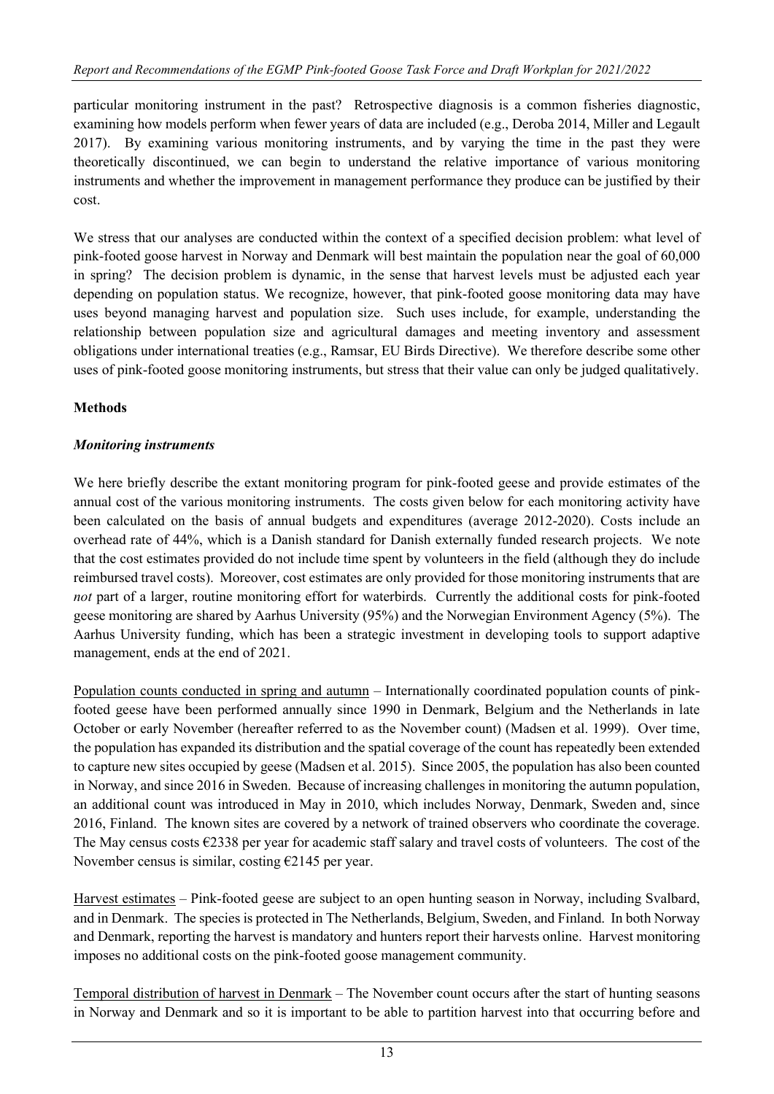particular monitoring instrument in the past? Retrospective diagnosis is a common fisheries diagnostic, examining how models perform when fewer years of data are included (e.g., Deroba 2014, Miller and Legault 2017). By examining various monitoring instruments, and by varying the time in the past they were theoretically discontinued, we can begin to understand the relative importance of various monitoring instruments and whether the improvement in management performance they produce can be justified by their cost.

We stress that our analyses are conducted within the context of a specified decision problem: what level of pink-footed goose harvest in Norway and Denmark will best maintain the population near the goal of 60,000 in spring? The decision problem is dynamic, in the sense that harvest levels must be adjusted each year depending on population status. We recognize, however, that pink-footed goose monitoring data may have uses beyond managing harvest and population size. Such uses include, for example, understanding the relationship between population size and agricultural damages and meeting inventory and assessment obligations under international treaties (e.g., Ramsar, EU Birds Directive). We therefore describe some other uses of pink-footed goose monitoring instruments, but stress that their value can only be judged qualitatively.

# **Methods**

# *Monitoring instruments*

We here briefly describe the extant monitoring program for pink-footed geese and provide estimates of the annual cost of the various monitoring instruments. The costs given below for each monitoring activity have been calculated on the basis of annual budgets and expenditures (average 2012-2020). Costs include an overhead rate of 44%, which is a Danish standard for Danish externally funded research projects. We note that the cost estimates provided do not include time spent by volunteers in the field (although they do include reimbursed travel costs). Moreover, cost estimates are only provided for those monitoring instruments that are *not* part of a larger, routine monitoring effort for waterbirds. Currently the additional costs for pink-footed geese monitoring are shared by Aarhus University (95%) and the Norwegian Environment Agency (5%). The Aarhus University funding, which has been a strategic investment in developing tools to support adaptive management, ends at the end of 2021.

Population counts conducted in spring and autumn – Internationally coordinated population counts of pinkfooted geese have been performed annually since 1990 in Denmark, Belgium and the Netherlands in late October or early November (hereafter referred to as the November count) (Madsen et al. 1999). Over time, the population has expanded its distribution and the spatial coverage of the count has repeatedly been extended to capture new sites occupied by geese (Madsen et al. 2015). Since 2005, the population has also been counted in Norway, and since 2016 in Sweden. Because of increasing challenges in monitoring the autumn population, an additional count was introduced in May in 2010, which includes Norway, Denmark, Sweden and, since 2016, Finland. The known sites are covered by a network of trained observers who coordinate the coverage. The May census costs €2338 per year for academic staff salary and travel costs of volunteers. The cost of the November census is similar, costing  $\epsilon$ 2145 per year.

Harvest estimates – Pink-footed geese are subject to an open hunting season in Norway, including Svalbard, and in Denmark. The species is protected in The Netherlands, Belgium, Sweden, and Finland. In both Norway and Denmark, reporting the harvest is mandatory and hunters report their harvests online. Harvest monitoring imposes no additional costs on the pink-footed goose management community.

Temporal distribution of harvest in Denmark – The November count occurs after the start of hunting seasons in Norway and Denmark and so it is important to be able to partition harvest into that occurring before and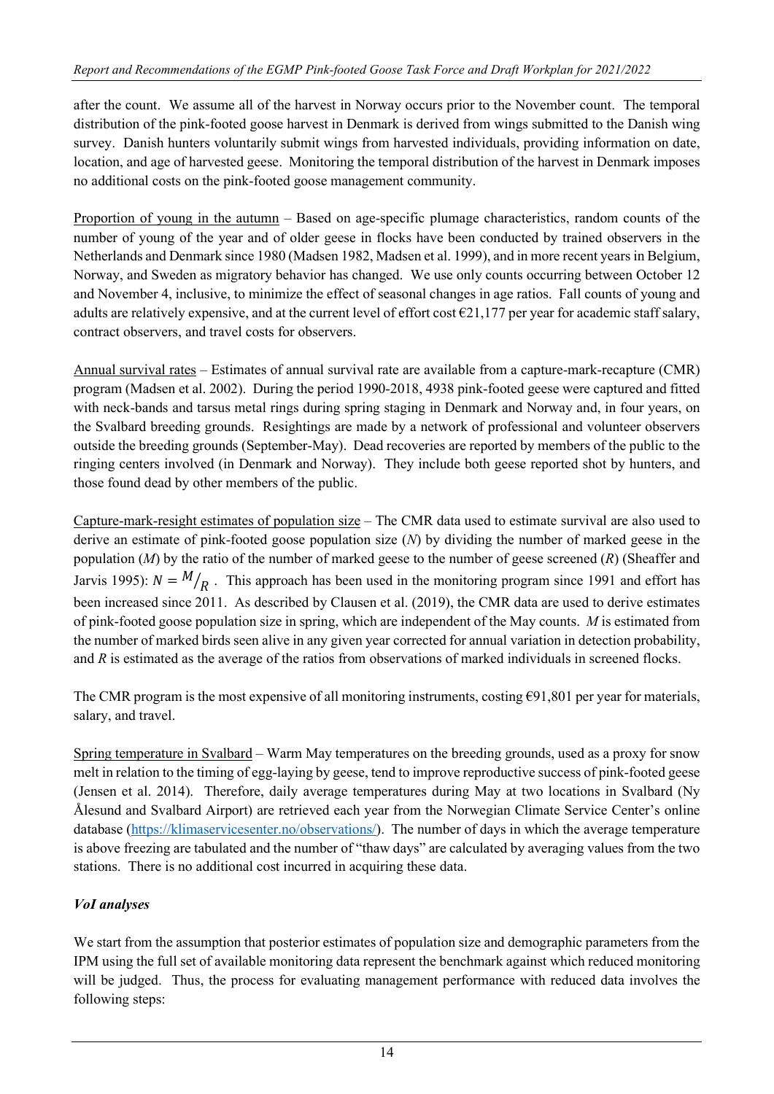after the count. We assume all of the harvest in Norway occurs prior to the November count. The temporal distribution of the pink-footed goose harvest in Denmark is derived from wings submitted to the Danish wing survey. Danish hunters voluntarily submit wings from harvested individuals, providing information on date, location, and age of harvested geese. Monitoring the temporal distribution of the harvest in Denmark imposes no additional costs on the pink-footed goose management community.

Proportion of young in the autumn – Based on age-specific plumage characteristics, random counts of the number of young of the year and of older geese in flocks have been conducted by trained observers in the Netherlands and Denmark since 1980 (Madsen 1982, Madsen et al. 1999), and in more recent years in Belgium, Norway, and Sweden as migratory behavior has changed. We use only counts occurring between October 12 and November 4, inclusive, to minimize the effect of seasonal changes in age ratios. Fall counts of young and adults are relatively expensive, and at the current level of effort cost  $\epsilon$ 21,177 per year for academic staff salary, contract observers, and travel costs for observers.

Annual survival rates – Estimates of annual survival rate are available from a capture-mark-recapture (CMR) program (Madsen et al. 2002). During the period 1990-2018, 4938 pink-footed geese were captured and fitted with neck-bands and tarsus metal rings during spring staging in Denmark and Norway and, in four years, on the Svalbard breeding grounds. Resightings are made by a network of professional and volunteer observers outside the breeding grounds (September-May). Dead recoveries are reported by members of the public to the ringing centers involved (in Denmark and Norway). They include both geese reported shot by hunters, and those found dead by other members of the public.

Capture-mark-resight estimates of population size – The CMR data used to estimate survival are also used to derive an estimate of pink-footed goose population size (*N*) by dividing the number of marked geese in the population (*M*) by the ratio of the number of marked geese to the number of geese screened (*R*) (Sheaffer and Jarvis 1995):  $N = M/p$ . This approach has been used in the monitoring program since 1991 and effort has been increased since 2011. As described by Clausen et al. (2019), the CMR data are used to derive estimates of pink-footed goose population size in spring, which are independent of the May counts. *M* is estimated from the number of marked birds seen alive in any given year corrected for annual variation in detection probability, and *R* is estimated as the average of the ratios from observations of marked individuals in screened flocks.

The CMR program is the most expensive of all monitoring instruments, costing €91,801 per year for materials, salary, and travel.

Spring temperature in Svalbard – Warm May temperatures on the breeding grounds, used as a proxy for snow melt in relation to the timing of egg-laying by geese, tend to improve reproductive success of pink-footed geese (Jensen et al. 2014). Therefore, daily average temperatures during May at two locations in Svalbard (Ny Ålesund and Svalbard Airport) are retrieved each year from the Norwegian Climate Service Center's online database [\(https://klimaservicesenter.no/observations/\)](https://klimaservicesenter.no/observations/). The number of days in which the average temperature is above freezing are tabulated and the number of "thaw days" are calculated by averaging values from the two stations. There is no additional cost incurred in acquiring these data.

# *VoI analyses*

We start from the assumption that posterior estimates of population size and demographic parameters from the IPM using the full set of available monitoring data represent the benchmark against which reduced monitoring will be judged. Thus, the process for evaluating management performance with reduced data involves the following steps: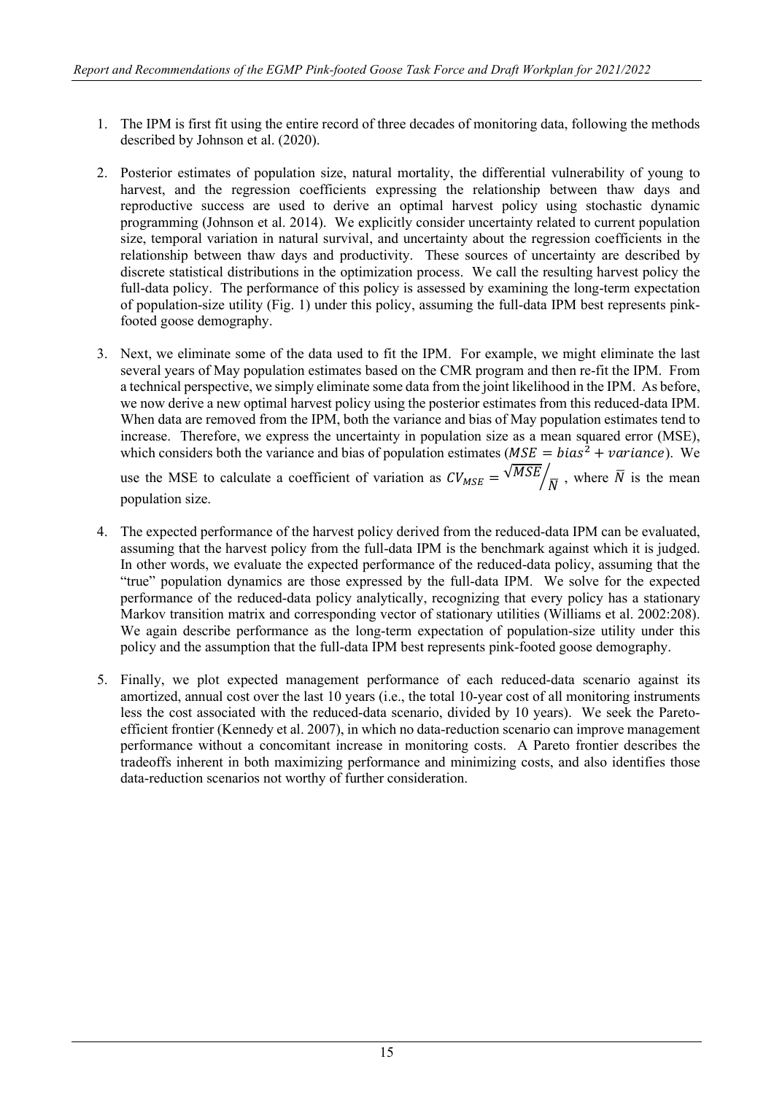- 1. The IPM is first fit using the entire record of three decades of monitoring data, following the methods described by Johnson et al. (2020).
- 2. Posterior estimates of population size, natural mortality, the differential vulnerability of young to harvest, and the regression coefficients expressing the relationship between thaw days and reproductive success are used to derive an optimal harvest policy using stochastic dynamic programming (Johnson et al. 2014). We explicitly consider uncertainty related to current population size, temporal variation in natural survival, and uncertainty about the regression coefficients in the relationship between thaw days and productivity. These sources of uncertainty are described by discrete statistical distributions in the optimization process. We call the resulting harvest policy the full-data policy. The performance of this policy is assessed by examining the long-term expectation of population-size utility (Fig. 1) under this policy, assuming the full-data IPM best represents pinkfooted goose demography.
- 3. Next, we eliminate some of the data used to fit the IPM. For example, we might eliminate the last several years of May population estimates based on the CMR program and then re-fit the IPM. From a technical perspective, we simply eliminate some data from the joint likelihood in the IPM. As before, we now derive a new optimal harvest policy using the posterior estimates from this reduced-data IPM. When data are removed from the IPM, both the variance and bias of May population estimates tend to increase. Therefore, we express the uncertainty in population size as a mean squared error (MSE), which considers both the variance and bias of population estimates ( $MSE = bias^2 + variance$ ). We use the MSE to calculate a coefficient of variation as  $CV_{MSE} = \sqrt{MSE}/\sqrt{N}$ , where  $\overline{N}$  is the mean population size.
- 4. The expected performance of the harvest policy derived from the reduced-data IPM can be evaluated, assuming that the harvest policy from the full-data IPM is the benchmark against which it is judged. In other words, we evaluate the expected performance of the reduced-data policy, assuming that the "true" population dynamics are those expressed by the full-data IPM. We solve for the expected performance of the reduced-data policy analytically, recognizing that every policy has a stationary Markov transition matrix and corresponding vector of stationary utilities (Williams et al. 2002:208). We again describe performance as the long-term expectation of population-size utility under this policy and the assumption that the full-data IPM best represents pink-footed goose demography.
- 5. Finally, we plot expected management performance of each reduced-data scenario against its amortized, annual cost over the last 10 years (i.e., the total 10-year cost of all monitoring instruments less the cost associated with the reduced-data scenario, divided by 10 years). We seek the Paretoefficient frontier (Kennedy et al. 2007), in which no data-reduction scenario can improve management performance without a concomitant increase in monitoring costs. A Pareto frontier describes the tradeoffs inherent in both maximizing performance and minimizing costs, and also identifies those data-reduction scenarios not worthy of further consideration.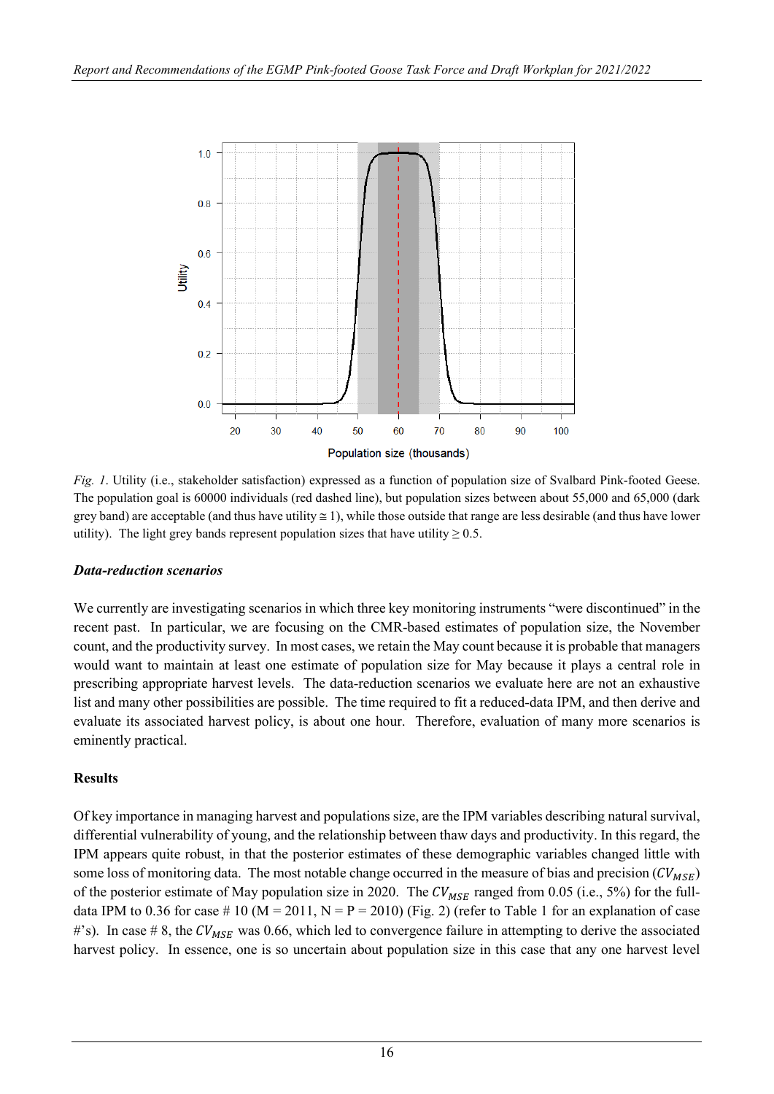

*Fig. 1*. Utility (i.e., stakeholder satisfaction) expressed as a function of population size of Svalbard Pink-footed Geese. The population goal is 60000 individuals (red dashed line), but population sizes between about 55,000 and 65,000 (dark grey band) are acceptable (and thus have utility  $\leq 1$ ), while those outside that range are less desirable (and thus have lower utility). The light grey bands represent population sizes that have utility  $\geq 0.5$ .

# *Data-reduction scenarios*

We currently are investigating scenarios in which three key monitoring instruments "were discontinued" in the recent past. In particular, we are focusing on the CMR-based estimates of population size, the November count, and the productivity survey. In most cases, we retain the May count because it is probable that managers would want to maintain at least one estimate of population size for May because it plays a central role in prescribing appropriate harvest levels. The data-reduction scenarios we evaluate here are not an exhaustive list and many other possibilities are possible. The time required to fit a reduced-data IPM, and then derive and evaluate its associated harvest policy, is about one hour. Therefore, evaluation of many more scenarios is eminently practical.

# **Results**

Of key importance in managing harvest and populations size, are the IPM variables describing natural survival, differential vulnerability of young, and the relationship between thaw days and productivity. In this regard, the IPM appears quite robust, in that the posterior estimates of these demographic variables changed little with some loss of monitoring data. The most notable change occurred in the measure of bias and precision ( $CV_{MSE}$ ) of the posterior estimate of May population size in 2020. The  $CV_{MSE}$  ranged from 0.05 (i.e., 5%) for the fulldata IPM to 0.36 for case # 10 (M = 2011, N = P = 2010) (Fig. 2) (refer to Table 1 for an explanation of case #'s). In case # 8, the  $CV_{MSE}$  was 0.66, which led to convergence failure in attempting to derive the associated harvest policy. In essence, one is so uncertain about population size in this case that any one harvest level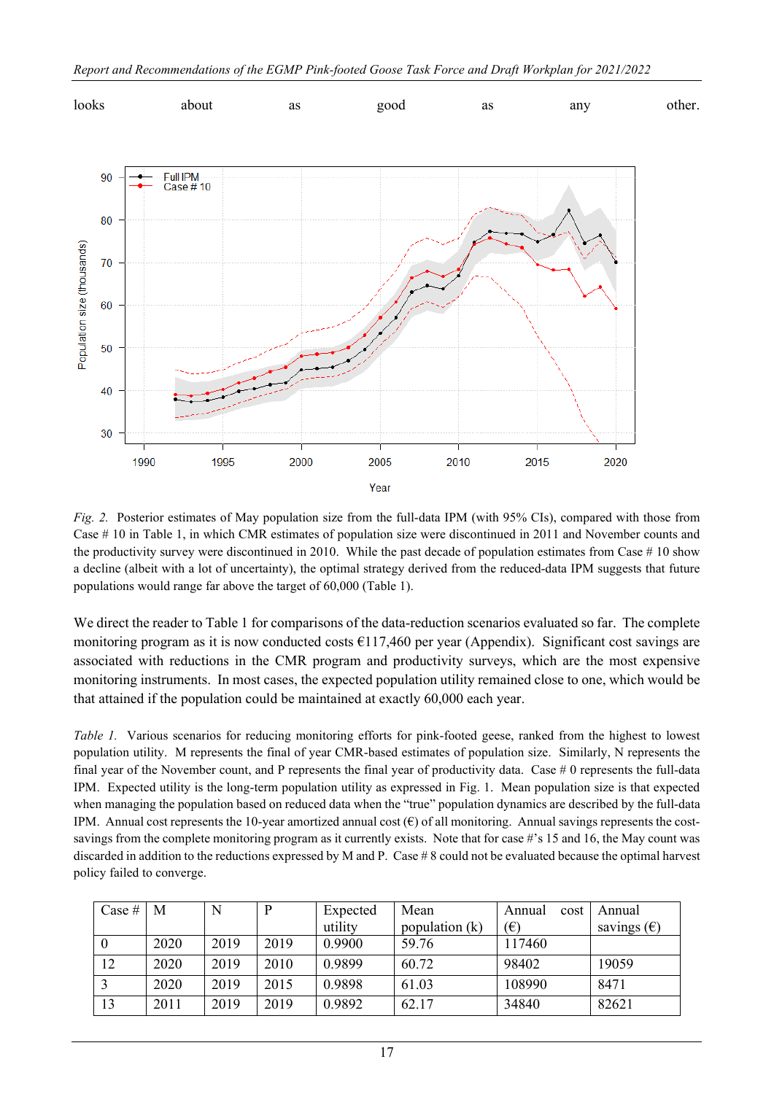

*Fig. 2.* Posterior estimates of May population size from the full-data IPM (with 95% CIs), compared with those from Case # 10 in Table 1, in which CMR estimates of population size were discontinued in 2011 and November counts and the productivity survey were discontinued in 2010. While the past decade of population estimates from Case  $#10$  show a decline (albeit with a lot of uncertainty), the optimal strategy derived from the reduced-data IPM suggests that future populations would range far above the target of 60,000 (Table 1).

We direct the reader to Table 1 for comparisons of the data-reduction scenarios evaluated so far. The complete monitoring program as it is now conducted costs  $\epsilon$ 117,460 per year (Appendix). Significant cost savings are associated with reductions in the CMR program and productivity surveys, which are the most expensive monitoring instruments. In most cases, the expected population utility remained close to one, which would be that attained if the population could be maintained at exactly 60,000 each year.

*Table 1.* Various scenarios for reducing monitoring efforts for pink-footed geese, ranked from the highest to lowest population utility. M represents the final of year CMR-based estimates of population size. Similarly, N represents the final year of the November count, and P represents the final year of productivity data. Case # 0 represents the full-data IPM. Expected utility is the long-term population utility as expressed in Fig. 1. Mean population size is that expected when managing the population based on reduced data when the "true" population dynamics are described by the full-data IPM. Annual cost represents the 10-year amortized annual cost  $(\epsilon)$  of all monitoring. Annual savings represents the costsavings from the complete monitoring program as it currently exists. Note that for case #'s 15 and 16, the May count was discarded in addition to the reductions expressed by M and P. Case # 8 could not be evaluated because the optimal harvest policy failed to converge.

| Case # | M    | N    | P    | Expected | Mean             | cost<br>Annual | Annual               |
|--------|------|------|------|----------|------------------|----------------|----------------------|
|        |      |      |      | utility  | population $(k)$ | $(\epsilon)$   | savings $(\epsilon)$ |
|        | 2020 | 2019 | 2019 | 0.9900   | 59.76            | 117460         |                      |
| 12     | 2020 | 2019 | 2010 | 0.9899   | 60.72            | 98402          | 19059                |
|        | 2020 | 2019 | 2015 | 0.9898   | 61.03            | 108990         | 8471                 |
| 13     | 2011 | 2019 | 2019 | 0.9892   | 62.17            | 34840          | 82621                |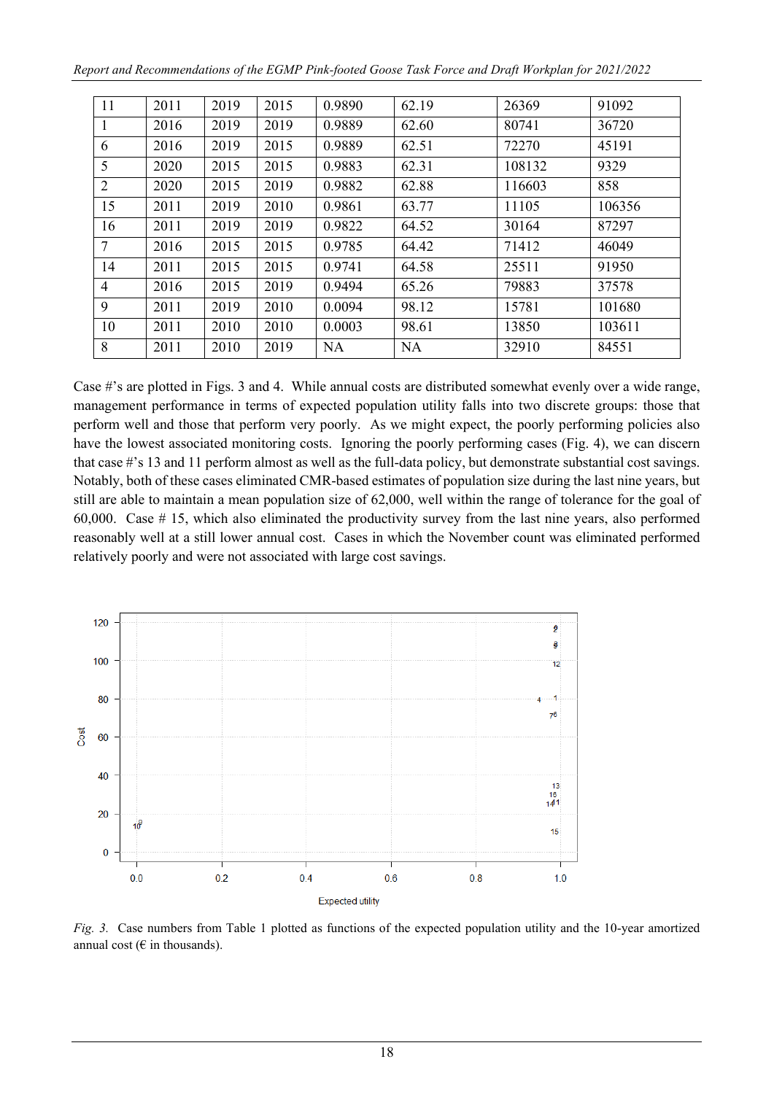| Report and Recommendations of the EGMP Pink-footed Goose Task Force and Draft Workplan for 2021/2022 |  |  |  |
|------------------------------------------------------------------------------------------------------|--|--|--|
|------------------------------------------------------------------------------------------------------|--|--|--|

| 11             | 2011 | 2019 | 2015 | 0.9890    | 62.19     | 26369  | 91092  |
|----------------|------|------|------|-----------|-----------|--------|--------|
| 1              | 2016 | 2019 | 2019 | 0.9889    | 62.60     | 80741  | 36720  |
| 6              | 2016 | 2019 | 2015 | 0.9889    | 62.51     | 72270  | 45191  |
| 5              | 2020 | 2015 | 2015 | 0.9883    | 62.31     | 108132 | 9329   |
| $\overline{2}$ | 2020 | 2015 | 2019 | 0.9882    | 62.88     | 116603 | 858    |
| 15             | 2011 | 2019 | 2010 | 0.9861    | 63.77     | 11105  | 106356 |
| 16             | 2011 | 2019 | 2019 | 0.9822    | 64.52     | 30164  | 87297  |
| 7              | 2016 | 2015 | 2015 | 0.9785    | 64.42     | 71412  | 46049  |
| 14             | 2011 | 2015 | 2015 | 0.9741    | 64.58     | 25511  | 91950  |
| $\overline{4}$ | 2016 | 2015 | 2019 | 0.9494    | 65.26     | 79883  | 37578  |
| 9              | 2011 | 2019 | 2010 | 0.0094    | 98.12     | 15781  | 101680 |
| 10             | 2011 | 2010 | 2010 | 0.0003    | 98.61     | 13850  | 103611 |
| 8              | 2011 | 2010 | 2019 | <b>NA</b> | <b>NA</b> | 32910  | 84551  |

Case #'s are plotted in Figs. 3 and 4. While annual costs are distributed somewhat evenly over a wide range, management performance in terms of expected population utility falls into two discrete groups: those that perform well and those that perform very poorly. As we might expect, the poorly performing policies also have the lowest associated monitoring costs. Ignoring the poorly performing cases (Fig. 4), we can discern that case #'s 13 and 11 perform almost as well as the full-data policy, but demonstrate substantial cost savings. Notably, both of these cases eliminated CMR-based estimates of population size during the last nine years, but still are able to maintain a mean population size of 62,000, well within the range of tolerance for the goal of 60,000. Case # 15, which also eliminated the productivity survey from the last nine years, also performed reasonably well at a still lower annual cost. Cases in which the November count was eliminated performed relatively poorly and were not associated with large cost savings.



*Fig. 3.* Case numbers from Table 1 plotted as functions of the expected population utility and the 10-year amortized annual cost ( $\epsilon$  in thousands).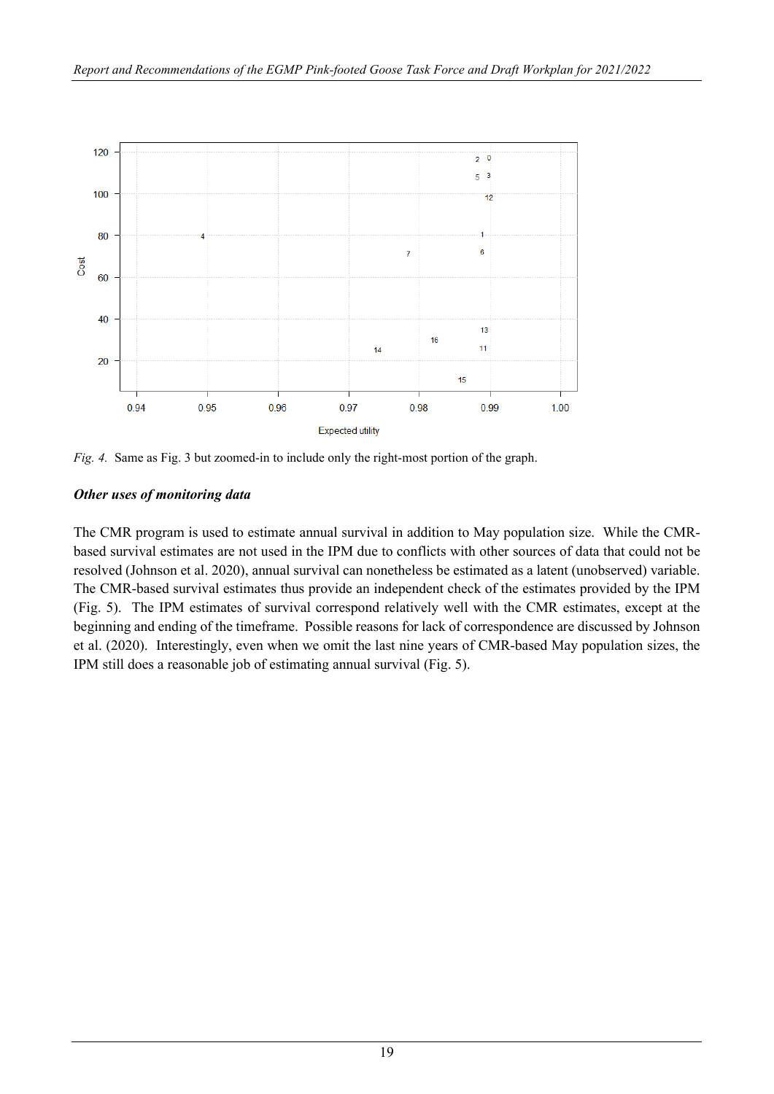

*Fig. 4.* Same as Fig. 3 but zoomed-in to include only the right-most portion of the graph.

# *Other uses of monitoring data*

The CMR program is used to estimate annual survival in addition to May population size. While the CMRbased survival estimates are not used in the IPM due to conflicts with other sources of data that could not be resolved (Johnson et al. 2020), annual survival can nonetheless be estimated as a latent (unobserved) variable. The CMR-based survival estimates thus provide an independent check of the estimates provided by the IPM (Fig. 5). The IPM estimates of survival correspond relatively well with the CMR estimates, except at the beginning and ending of the timeframe. Possible reasons for lack of correspondence are discussed by Johnson et al. (2020). Interestingly, even when we omit the last nine years of CMR-based May population sizes, the IPM still does a reasonable job of estimating annual survival (Fig. 5).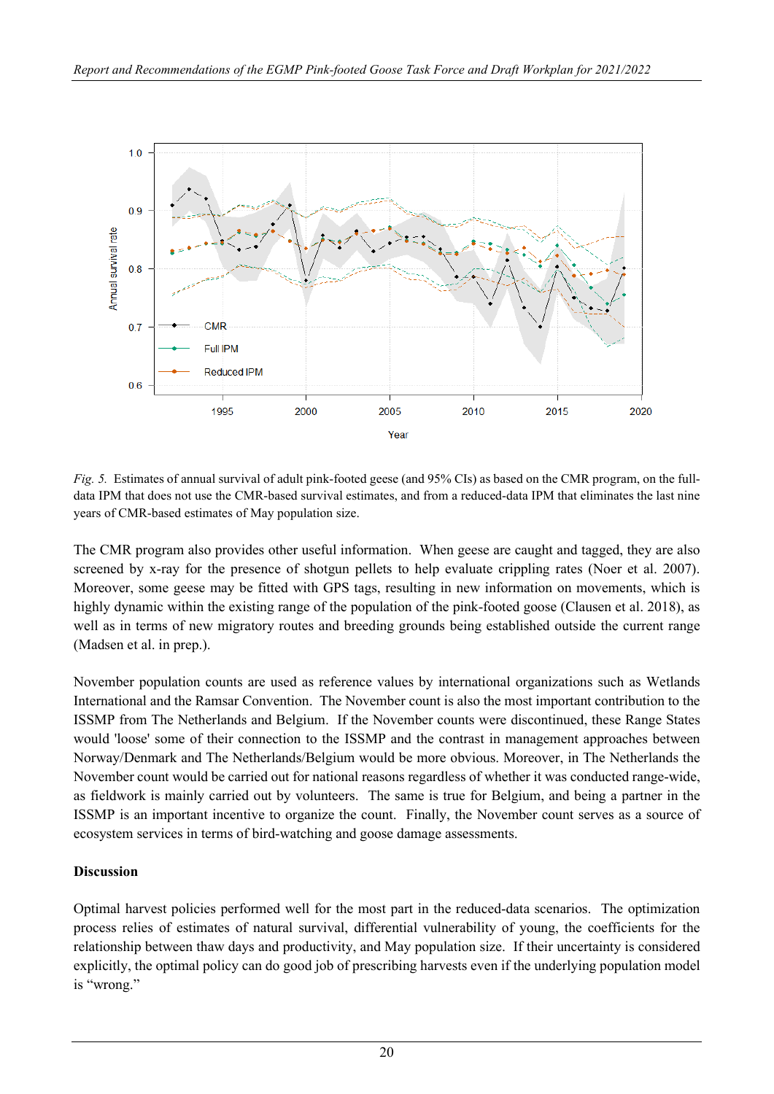

*Fig. 5.* Estimates of annual survival of adult pink-footed geese (and 95% CIs) as based on the CMR program, on the fulldata IPM that does not use the CMR-based survival estimates, and from a reduced-data IPM that eliminates the last nine years of CMR-based estimates of May population size.

The CMR program also provides other useful information. When geese are caught and tagged, they are also screened by x-ray for the presence of shotgun pellets to help evaluate crippling rates (Noer et al. 2007). Moreover, some geese may be fitted with GPS tags, resulting in new information on movements, which is highly dynamic within the existing range of the population of the pink-footed goose (Clausen et al. 2018), as well as in terms of new migratory routes and breeding grounds being established outside the current range (Madsen et al. in prep.).

November population counts are used as reference values by international organizations such as Wetlands International and the Ramsar Convention. The November count is also the most important contribution to the ISSMP from The Netherlands and Belgium. If the November counts were discontinued, these Range States would 'loose' some of their connection to the ISSMP and the contrast in management approaches between Norway/Denmark and The Netherlands/Belgium would be more obvious. Moreover, in The Netherlands the November count would be carried out for national reasons regardless of whether it was conducted range-wide, as fieldwork is mainly carried out by volunteers. The same is true for Belgium, and being a partner in the ISSMP is an important incentive to organize the count. Finally, the November count serves as a source of ecosystem services in terms of bird-watching and goose damage assessments.

# **Discussion**

Optimal harvest policies performed well for the most part in the reduced-data scenarios. The optimization process relies of estimates of natural survival, differential vulnerability of young, the coefficients for the relationship between thaw days and productivity, and May population size. If their uncertainty is considered explicitly, the optimal policy can do good job of prescribing harvests even if the underlying population model is "wrong."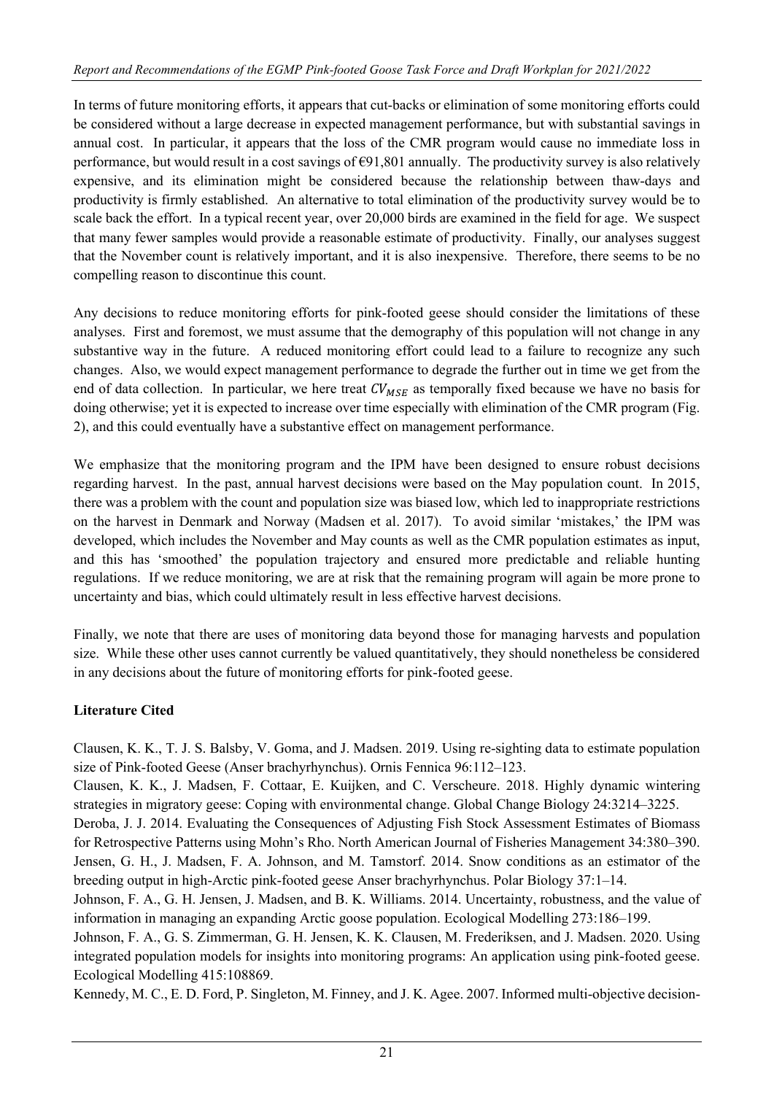In terms of future monitoring efforts, it appears that cut-backs or elimination of some monitoring efforts could be considered without a large decrease in expected management performance, but with substantial savings in annual cost. In particular, it appears that the loss of the CMR program would cause no immediate loss in performance, but would result in a cost savings of €91,801 annually. The productivity survey is also relatively expensive, and its elimination might be considered because the relationship between thaw-days and productivity is firmly established. An alternative to total elimination of the productivity survey would be to scale back the effort. In a typical recent year, over 20,000 birds are examined in the field for age. We suspect that many fewer samples would provide a reasonable estimate of productivity. Finally, our analyses suggest that the November count is relatively important, and it is also inexpensive. Therefore, there seems to be no compelling reason to discontinue this count.

Any decisions to reduce monitoring efforts for pink-footed geese should consider the limitations of these analyses. First and foremost, we must assume that the demography of this population will not change in any substantive way in the future. A reduced monitoring effort could lead to a failure to recognize any such changes. Also, we would expect management performance to degrade the further out in time we get from the end of data collection. In particular, we here treat  $CV_{MSE}$  as temporally fixed because we have no basis for doing otherwise; yet it is expected to increase over time especially with elimination of the CMR program (Fig. 2), and this could eventually have a substantive effect on management performance.

We emphasize that the monitoring program and the IPM have been designed to ensure robust decisions regarding harvest. In the past, annual harvest decisions were based on the May population count. In 2015, there was a problem with the count and population size was biased low, which led to inappropriate restrictions on the harvest in Denmark and Norway (Madsen et al. 2017). To avoid similar 'mistakes,' the IPM was developed, which includes the November and May counts as well as the CMR population estimates as input, and this has 'smoothed' the population trajectory and ensured more predictable and reliable hunting regulations. If we reduce monitoring, we are at risk that the remaining program will again be more prone to uncertainty and bias, which could ultimately result in less effective harvest decisions.

Finally, we note that there are uses of monitoring data beyond those for managing harvests and population size. While these other uses cannot currently be valued quantitatively, they should nonetheless be considered in any decisions about the future of monitoring efforts for pink-footed geese.

# **Literature Cited**

Clausen, K. K., T. J. S. Balsby, V. Goma, and J. Madsen. 2019. Using re-sighting data to estimate population size of Pink-footed Geese (Anser brachyrhynchus). Ornis Fennica 96:112–123.

Clausen, K. K., J. Madsen, F. Cottaar, E. Kuijken, and C. Verscheure. 2018. Highly dynamic wintering strategies in migratory geese: Coping with environmental change. Global Change Biology 24:3214–3225.

Deroba, J. J. 2014. Evaluating the Consequences of Adjusting Fish Stock Assessment Estimates of Biomass for Retrospective Patterns using Mohn's Rho. North American Journal of Fisheries Management 34:380–390. Jensen, G. H., J. Madsen, F. A. Johnson, and M. Tamstorf. 2014. Snow conditions as an estimator of the breeding output in high-Arctic pink-footed geese Anser brachyrhynchus. Polar Biology 37:1–14.

Johnson, F. A., G. H. Jensen, J. Madsen, and B. K. Williams. 2014. Uncertainty, robustness, and the value of information in managing an expanding Arctic goose population. Ecological Modelling 273:186–199.

Johnson, F. A., G. S. Zimmerman, G. H. Jensen, K. K. Clausen, M. Frederiksen, and J. Madsen. 2020. Using integrated population models for insights into monitoring programs: An application using pink-footed geese. Ecological Modelling 415:108869.

Kennedy, M. C., E. D. Ford, P. Singleton, M. Finney, and J. K. Agee. 2007. Informed multi-objective decision-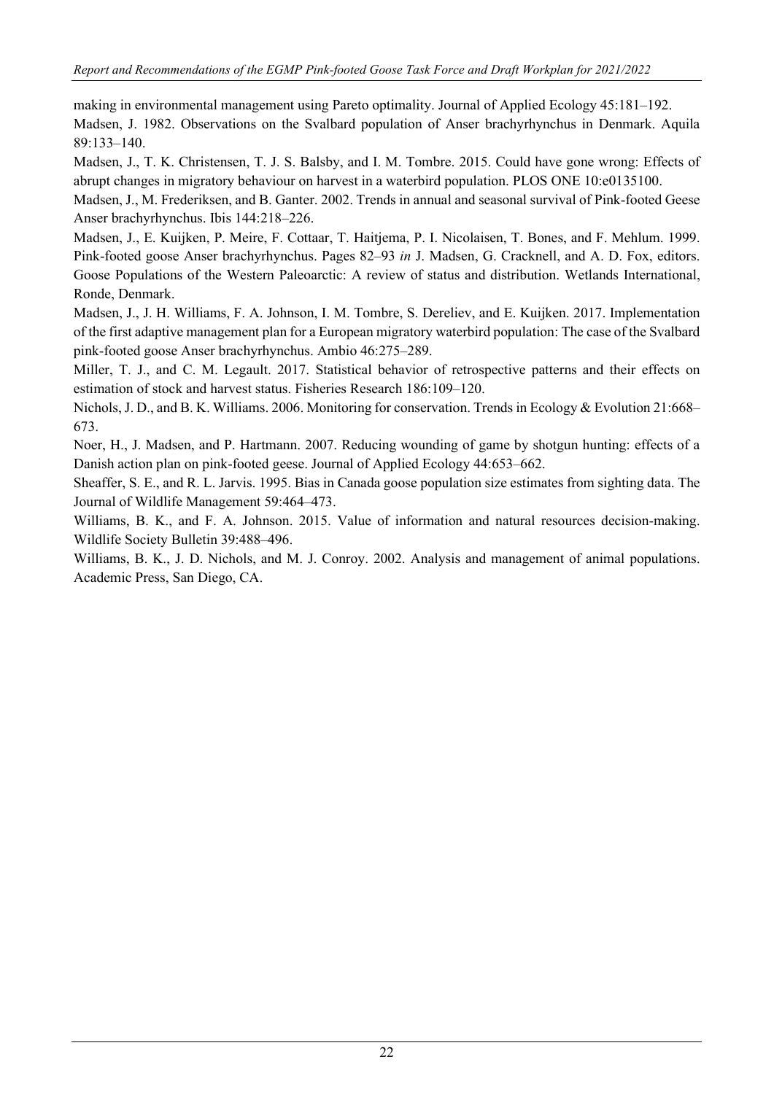making in environmental management using Pareto optimality. Journal of Applied Ecology 45:181–192. Madsen, J. 1982. Observations on the Svalbard population of Anser brachyrhynchus in Denmark. Aquila 89:133–140.

Madsen, J., T. K. Christensen, T. J. S. Balsby, and I. M. Tombre. 2015. Could have gone wrong: Effects of abrupt changes in migratory behaviour on harvest in a waterbird population. PLOS ONE 10:e0135100.

Madsen, J., M. Frederiksen, and B. Ganter. 2002. Trends in annual and seasonal survival of Pink-footed Geese Anser brachyrhynchus. Ibis 144:218–226.

Madsen, J., E. Kuijken, P. Meire, F. Cottaar, T. Haitjema, P. I. Nicolaisen, T. Bones, and F. Mehlum. 1999. Pink-footed goose Anser brachyrhynchus. Pages 82–93 *in* J. Madsen, G. Cracknell, and A. D. Fox, editors. Goose Populations of the Western Paleoarctic: A review of status and distribution. Wetlands International, Ronde, Denmark.

Madsen, J., J. H. Williams, F. A. Johnson, I. M. Tombre, S. Dereliev, and E. Kuijken. 2017. Implementation of the first adaptive management plan for a European migratory waterbird population: The case of the Svalbard pink-footed goose Anser brachyrhynchus. Ambio 46:275–289.

Miller, T. J., and C. M. Legault. 2017. Statistical behavior of retrospective patterns and their effects on estimation of stock and harvest status. Fisheries Research 186:109–120.

Nichols, J. D., and B. K. Williams. 2006. Monitoring for conservation. Trends in Ecology & Evolution 21:668– 673.

Noer, H., J. Madsen, and P. Hartmann. 2007. Reducing wounding of game by shotgun hunting: effects of a Danish action plan on pink-footed geese. Journal of Applied Ecology 44:653–662.

Sheaffer, S. E., and R. L. Jarvis. 1995. Bias in Canada goose population size estimates from sighting data. The Journal of Wildlife Management 59:464–473.

Williams, B. K., and F. A. Johnson. 2015. Value of information and natural resources decision-making. Wildlife Society Bulletin 39:488–496.

Williams, B. K., J. D. Nichols, and M. J. Conroy. 2002. Analysis and management of animal populations. Academic Press, San Diego, CA.